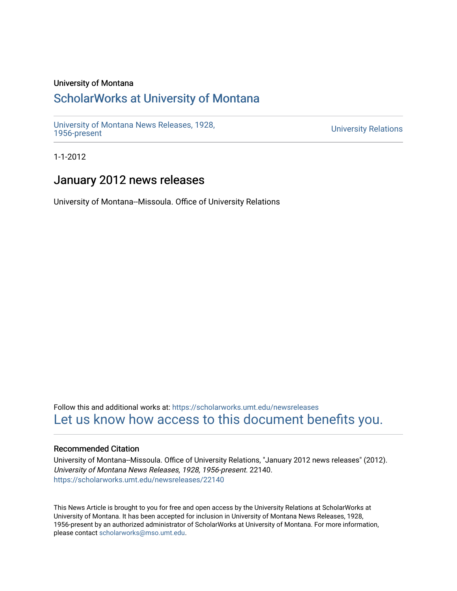# University of Montana

# [ScholarWorks at University of Montana](https://scholarworks.umt.edu/)

[University of Montana News Releases, 1928,](https://scholarworks.umt.edu/newsreleases) 

**University Relations** 

1-1-2012

# January 2012 news releases

University of Montana--Missoula. Office of University Relations

Follow this and additional works at: [https://scholarworks.umt.edu/newsreleases](https://scholarworks.umt.edu/newsreleases?utm_source=scholarworks.umt.edu%2Fnewsreleases%2F22140&utm_medium=PDF&utm_campaign=PDFCoverPages) [Let us know how access to this document benefits you.](https://goo.gl/forms/s2rGfXOLzz71qgsB2) 

## Recommended Citation

University of Montana--Missoula. Office of University Relations, "January 2012 news releases" (2012). University of Montana News Releases, 1928, 1956-present. 22140. [https://scholarworks.umt.edu/newsreleases/22140](https://scholarworks.umt.edu/newsreleases/22140?utm_source=scholarworks.umt.edu%2Fnewsreleases%2F22140&utm_medium=PDF&utm_campaign=PDFCoverPages) 

This News Article is brought to you for free and open access by the University Relations at ScholarWorks at University of Montana. It has been accepted for inclusion in University of Montana News Releases, 1928, 1956-present by an authorized administrator of ScholarWorks at University of Montana. For more information, please contact [scholarworks@mso.umt.edu.](mailto:scholarworks@mso.umt.edu)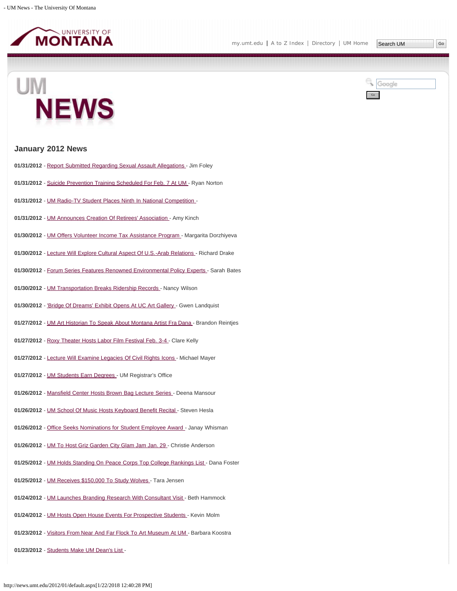





## **January 2012 News**

- **01/31/2012** - [Report Submitted Regarding Sexual Assault Allegations](#page-3-0)  Jim Foley
- **01/31/2012** - [Suicide Prevention Training Scheduled For Feb. 7 At UM](#page-4-0)  Ryan Norton
- **01/31/2012** - [UM Radio-TV Student Places Ninth In National Competition -](#page-5-0)
- **01/31/2012** - [UM Announces Creation Of Retirees' Association -](#page-6-0) Amy Kinch
- **01/30/2012** - [UM Offers Volunteer Income Tax Assistance Program -](#page-7-0) Margarita Dorzhiyeva
- **01/30/2012** - [Lecture Will Explore Cultural Aspect Of U.S.-Arab Relations](#page-8-0)  Richard Drake
- **01/30/2012** - [Forum Series Features Renowned Environmental Policy Experts -](#page-9-0) Sarah Bates
- 01/30/2012 - [UM Transportation Breaks Ridership Records -](#page-10-0) Nancy Wilson
- **01/30/2012** - ['Bridge Of Dreams' Exhibit Opens At UC Art Gallery -](#page-11-0) Gwen Landquist
- **01/27/2012** - [UM Art Historian To Speak About Montana Artist Fra Dana](#page-12-0)  Brandon Reintjes
- **01/27/2012** - [Roxy Theater Hosts Labor Film Festival Feb. 3-4 -](#page-13-0) Clare Kelly
- **01/27/2012** - [Lecture Will Examine Legacies Of Civil Rights Icons](#page-14-0)  Michael Mayer
- **01/27/2012** - [UM Students Earn Degrees](#page-15-0)  UM Registrar's Office
- **01/26/2012** - [Mansfield Center Hosts Brown Bag Lecture Series -](#page-16-0) Deena Mansour
- **01/26/2012** - [UM School Of Music Hosts Keyboard Benefit Recital](#page-17-0)  Steven Hesla
- **01/26/2012** - [Office Seeks Nominations for Student Employee Award -](#page-18-0) Janay Whisman
- **01/26/2012** - [UM To Host Griz Garden City Glam Jam Jan. 29](#page-19-0)  Christie Anderson
- **01/25/2012** - [UM Holds Standing On Peace Corps Top College Rankings List -](#page-20-0) Dana Foster
- **01/25/2012** - [UM Receives \\$150,000 To Study Wolves](#page-21-0)  Tara Jensen
- **01/24/2012** - [UM Launches Branding Research With Consultant Visit](#page-22-0)  Beth Hammock
- 01/24/2012 - [UM Hosts Open House Events For Prospective Students](#page-24-0)  Kevin Molm
- **01/23/2012** - [Visitors From Near And Far Flock To Art Museum At UM -](#page-25-0) Barbara Koostra
- **01/23/2012** - [Students Make UM Dean's List -](#page-26-0)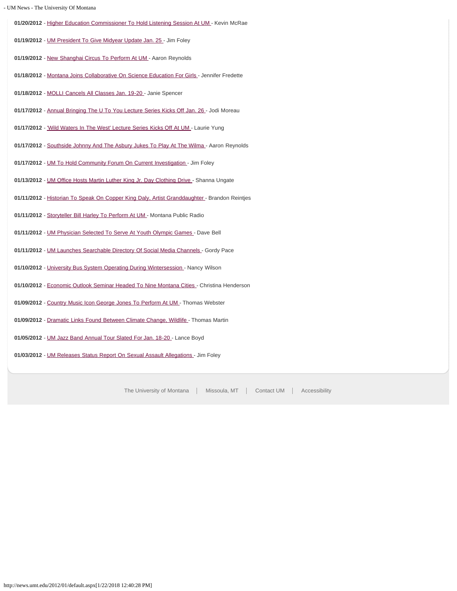### - UM News - The University Of Montana

**01/20/2012** - [Higher Education Commissioner To Hold Listening Session At UM](#page-27-0) - Kevin McRae **01/19/2012** - [UM President To Give Midyear Update Jan. 25 -](#page-28-0) Jim Foley 01/19/2012 - New Shanghai Circus To Perform At UM<sub>-</sub> Aaron Reynolds 01/18/2012 - [Montana Joins Collaborative On Science Education For Girls](#page-30-0) - Jennifer Fredette **01/18/2012** - [MOLLI Cancels All Classes Jan. 19-20](#page-31-0) - Janie Spencer **01/17/2012** - [Annual Bringing The U To You Lecture Series Kicks Off Jan. 26 -](#page-32-0) Jodi Moreau 01/17/2012 - ['Wild Waters In The West' Lecture Series Kicks Off At UM -](#page-33-0) Laurie Yung **01/17/2012** - [Southside Johnny And The Asbury Jukes To Play At The Wilma -](#page-35-0) Aaron Reynolds 01/17/2012 - [UM To Hold Community Forum On Current Investigation](#page-36-0) - Jim Foley 01/13/2012 - [UM Office Hosts Martin Luther King Jr. Day Clothing Drive -](#page-37-0) Shanna Ungate 01/11/2012 - [Historian To Speak On Copper King Daly, Artist Granddaughter](#page-38-0) - Brandon Reintjes **01/11/2012** - [Storyteller Bill Harley To Perform At UM -](#page-39-0) Montana Public Radio **01/11/2012** - [UM Physician Selected To Serve At Youth Olympic Games -](#page-40-0) Dave Bell **01/11/2012** - [UM Launches Searchable Directory Of Social Media Channels](#page-41-0) - Gordy Pace 01/10/2012 - [University Bus System Operating During Wintersession -](#page-42-0) Nancy Wilson **01/10/2012** - [Economic Outlook Seminar Headed To Nine Montana Cities](#page-43-0) - Christina Henderson **01/09/2012** - [Country Music Icon George Jones To Perform At UM -](#page-45-0) Thomas Webster **01/09/2012** - [Dramatic Links Found Between Climate Change, Wildlife](#page-46-0) - Thomas Martin **01/05/2012** - [UM Jazz Band Annual Tour Slated For Jan. 18-20](#page-47-0) - Lance Boyd **01/03/2012** - [UM Releases Status Report On Sexual Assault Allegations -](#page-49-0) Jim Foley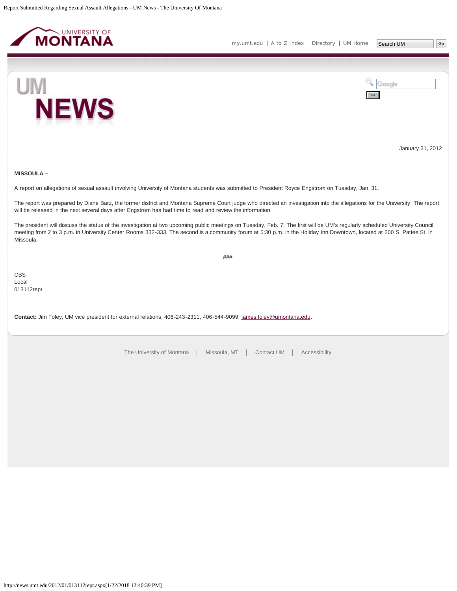<span id="page-3-0"></span>





January 31, 2012

## **MISSOULA –**

A report on allegations of sexual assault involving University of Montana students was submitted to President Royce Engstrom on Tuesday, Jan. 31.

The report was prepared by Diane Barz, the former district and Montana Supreme Court judge who directed an investigation into the allegations for the University. The report will be released in the next several days after Engstrom has had time to read and review the information.

The president will discuss the status of the investigation at two upcoming public meetings on Tuesday, Feb. 7. The first will be UM's regularly scheduled University Council meeting from 2 to 3 p.m. in University Center Rooms 332-333. The second is a community forum at 5:30 p.m. in the Holiday Inn Downtown, located at 200 S. Pattee St. in Missoula.

###

CBS Local 013112rept

**Contact:** Jim Foley, UM vice president for external relations, 406-243-2311, 406-544-9099, [james.foley@umontana.edu](mailto:james.foley@umontana.edu).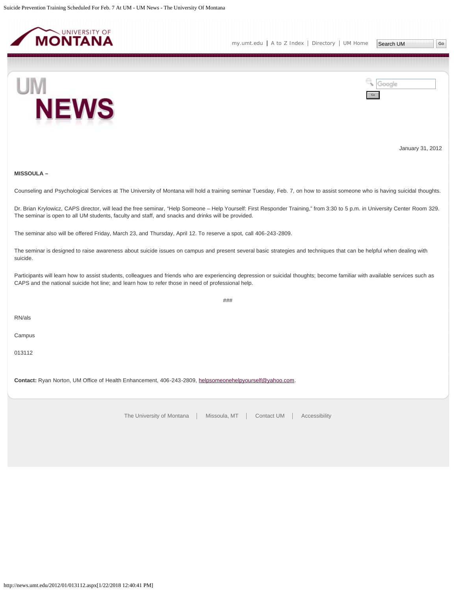<span id="page-4-0"></span>



January 31, 2012

## **MISSOULA –**

Counseling and Psychological Services at The University of Montana will hold a training seminar Tuesday, Feb. 7, on how to assist someone who is having suicidal thoughts.

Dr. Brian Krylowicz, CAPS director, will lead the free seminar, "Help Someone – Help Yourself: First Responder Training," from 3:30 to 5 p.m. in University Center Room 329. The seminar is open to all UM students, faculty and staff, and snacks and drinks will be provided.

The seminar also will be offered Friday, March 23, and Thursday, April 12. To reserve a spot, call 406-243-2809.

The seminar is designed to raise awareness about suicide issues on campus and present several basic strategies and techniques that can be helpful when dealing with suicide.

Participants will learn how to assist students, colleagues and friends who are experiencing depression or suicidal thoughts; become familiar with available services such as CAPS and the national suicide hot line; and learn how to refer those in need of professional help.

###

RN/als

Campus

013112

**Contact:** Ryan Norton, UM Office of Health Enhancement, 406-243-2809, [helpsomeonehelpyourself@yahoo.com](mailto:helpsomeonehelpyourself@yahoo.com).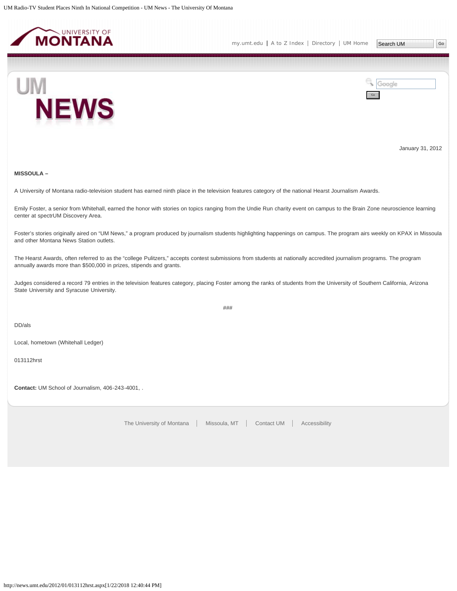<span id="page-5-0"></span>

**NEWS** 



January 31, 2012

## **MISSOULA –**

UM

A University of Montana radio-television student has earned ninth place in the television features category of the national Hearst Journalism Awards.

Emily Foster, a senior from Whitehall, earned the honor with stories on topics ranging from the Undie Run charity event on campus to the Brain Zone neuroscience learning center at spectrUM Discovery Area.

Foster's stories originally aired on "UM News," a program produced by journalism students highlighting happenings on campus. The program airs weekly on KPAX in Missoula and other Montana News Station outlets.

The Hearst Awards, often referred to as the "college Pulitzers," accepts contest submissions from students at nationally accredited journalism programs. The program annually awards more than \$500,000 in prizes, stipends and grants.

Judges considered a record 79 entries in the television features category, placing Foster among the ranks of students from the University of Southern California, Arizona State University and Syracuse University.

###

DD/als

Local, hometown (Whitehall Ledger)

013112hrst

**Contact:** UM School of Journalism, 406-243-4001, .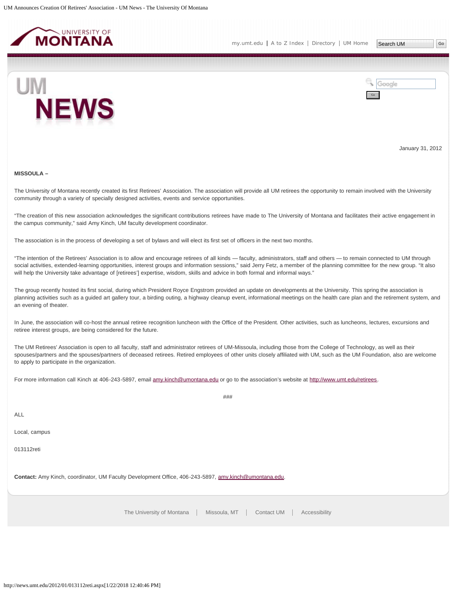<span id="page-6-0"></span>



January 31, 2012

#### **MISSOULA –**

The University of Montana recently created its first Retirees' Association. The association will provide all UM retirees the opportunity to remain involved with the University community through a variety of specially designed activities, events and service opportunities.

"The creation of this new association acknowledges the significant contributions retirees have made to The University of Montana and facilitates their active engagement in the campus community," said Amy Kinch, UM faculty development coordinator.

The association is in the process of developing a set of bylaws and will elect its first set of officers in the next two months.

"The intention of the Retirees' Association is to allow and encourage retirees of all kinds — faculty, administrators, staff and others — to remain connected to UM through social activities, extended-learning opportunities, interest groups and information sessions," said Jerry Fetz, a member of the planning committee for the new group. "It also will help the University take advantage of [retirees'] expertise, wisdom, skills and advice in both formal and informal ways."

The group recently hosted its first social, during which President Royce Engstrom provided an update on developments at the University. This spring the association is planning activities such as a guided art gallery tour, a birding outing, a highway cleanup event, informational meetings on the health care plan and the retirement system, and an evening of theater.

In June, the association will co-host the annual retiree recognition luncheon with the Office of the President. Other activities, such as luncheons, lectures, excursions and retiree interest groups, are being considered for the future.

The UM Retirees' Association is open to all faculty, staff and administrator retirees of UM-Missoula, including those from the College of Technology, as well as their spouses/partners and the spouses/partners of deceased retirees. Retired employees of other units closely affiliated with UM, such as the UM Foundation, also are welcome to apply to participate in the organization.

 $#HH$ 

For more information call Kinch at 406-243-5897, email [amy.kinch@umontana.edu](mailto:amy.kinch@umontana.edu) or go to the association's website at [http://www.umt.edu/retirees.](http://www.umt.edu/retirees)

ALL

Local, campus

013112reti

**Contact:** Amy Kinch, coordinator, UM Faculty Development Office, 406-243-5897, [amy.kinch@umontana.edu](mailto:amy.kinch@umontana.edu).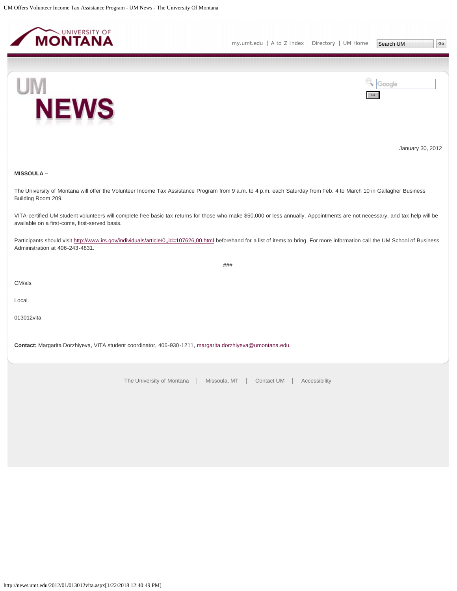<span id="page-7-0"></span>



Go

Google



January 30, 2012

**MISSOULA –**

The University of Montana will offer the Volunteer Income Tax Assistance Program from 9 a.m. to 4 p.m. each Saturday from Feb. 4 to March 10 in Gallagher Business Building Room 209.

VITA-certified UM student volunteers will complete free basic tax returns for those who make \$50,000 or less annually. Appointments are not necessary, and tax help will be available on a first-come, first-served basis.

Participants should visit <http://www.irs.gov/individuals/article/0,,id=107626,00.html>beforehand for a list of items to bring. For more information call the UM School of Business Administration at 406-243-4831.

###

CM/als

Local

013012vita

**Contact:** Margarita Dorzhiyeva, VITA student coordinator, 406-930-1211, [margarita.dorzhiyeva@umontana.edu.](mailto:margarita.dorzhiyeva@umontana.edu)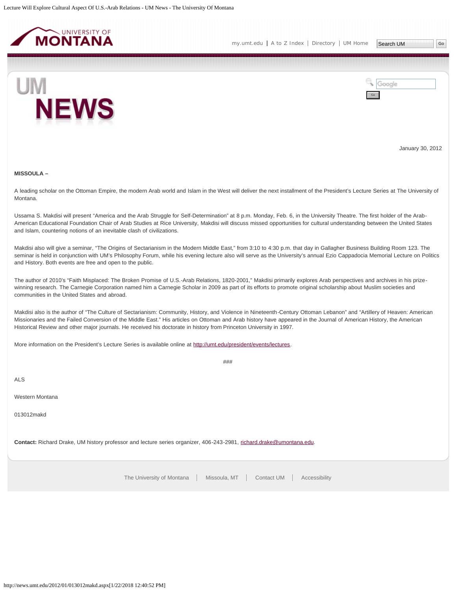<span id="page-8-0"></span>



January 30, 2012

#### **MISSOULA –**

A leading scholar on the Ottoman Empire, the modern Arab world and Islam in the West will deliver the next installment of the President's Lecture Series at The University of Montana.

Ussama S. Makdisi will present "America and the Arab Struggle for Self-Determination" at 8 p.m. Monday, Feb. 6, in the University Theatre. The first holder of the Arab-American Educational Foundation Chair of Arab Studies at Rice University, Makdisi will discuss missed opportunities for cultural understanding between the United States and Islam, countering notions of an inevitable clash of civilizations.

Makdisi also will give a seminar, "The Origins of Sectarianism in the Modern Middle East," from 3:10 to 4:30 p.m. that day in Gallagher Business Building Room 123. The seminar is held in conjunction with UM's Philosophy Forum, while his evening lecture also will serve as the University's annual Ezio Cappadocia Memorial Lecture on Politics and History. Both events are free and open to the public.

The author of 2010's "Faith Misplaced: The Broken Promise of U.S.-Arab Relations, 1820-2001," Makdisi primarily explores Arab perspectives and archives in his prizewinning research. The Carnegie Corporation named him a Carnegie Scholar in 2009 as part of its efforts to promote original scholarship about Muslim societies and communities in the United States and abroad.

Makdisi also is the author of "The Culture of Sectarianism: Community, History, and Violence in Nineteenth-Century Ottoman Lebanon" and "Artillery of Heaven: American Missionaries and the Failed Conversion of the Middle East." His articles on Ottoman and Arab history have appeared in the Journal of American History, the American Historical Review and other major journals. He received his doctorate in history from Princeton University in 1997.

###

More information on the President's Lecture Series is available online at<http://umt.edu/president/events/lectures>.

ALS

Western Montana

013012makd

**Contact:** Richard Drake, UM history professor and lecture series organizer, 406-243-2981, [richard.drake@umontana.edu.](mailto:richard.drake@umontana.edu)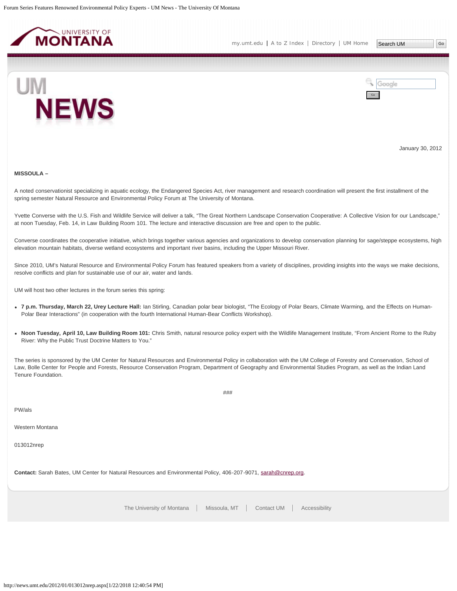<span id="page-9-0"></span>



January 30, 2012

#### **MISSOULA –**

A noted conservationist specializing in aquatic ecology, the Endangered Species Act, river management and research coordination will present the first installment of the spring semester Natural Resource and Environmental Policy Forum at The University of Montana.

Yvette Converse with the U.S. Fish and Wildlife Service will deliver a talk, "The Great Northern Landscape Conservation Cooperative: A Collective Vision for our Landscape," at noon Tuesday, Feb. 14, in Law Building Room 101. The lecture and interactive discussion are free and open to the public.

Converse coordinates the cooperative initiative, which brings together various agencies and organizations to develop conservation planning for sage/steppe ecosystems, high elevation mountain habitats, diverse wetland ecosystems and important river basins, including the Upper Missouri River.

Since 2010, UM's Natural Resource and Environmental Policy Forum has featured speakers from a variety of disciplines, providing insights into the ways we make decisions, resolve conflicts and plan for sustainable use of our air, water and lands.

UM will host two other lectures in the forum series this spring:

- **7 p.m. Thursday, March 22, Urey Lecture Hall:** Ian Stirling, Canadian polar bear biologist, "The Ecology of Polar Bears, Climate Warming, and the Effects on Human-Polar Bear Interactions" (in cooperation with the fourth International Human-Bear Conflicts Workshop).
- **Noon Tuesday, April 10, Law Building Room 101:** Chris Smith, natural resource policy expert with the Wildlife Management Institute, "From Ancient Rome to the Ruby River: Why the Public Trust Doctrine Matters to You."

The series is sponsored by the UM Center for Natural Resources and Environmental Policy in collaboration with the UM College of Forestry and Conservation, School of Law, Bolle Center for People and Forests, Resource Conservation Program, Department of Geography and Environmental Studies Program, as well as the Indian Land Tenure Foundation.

###

PW/als

Western Montana

013012nrep

Contact: Sarah Bates, UM Center for Natural Resources and Environmental Policy, 406-207-9071, [sarah@cnrep.org.](mailto:sarah@cnrep.org)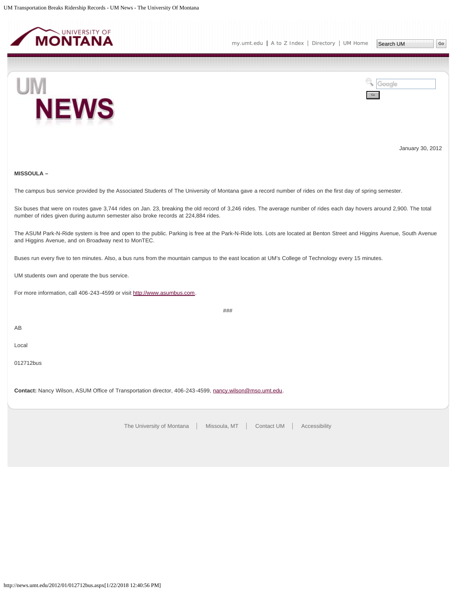<span id="page-10-0"></span>



January 30, 2012

## **MISSOULA –**

The campus bus service provided by the Associated Students of The University of Montana gave a record number of rides on the first day of spring semester.

Six buses that were on routes gave 3,744 rides on Jan. 23, breaking the old record of 3,246 rides. The average number of rides each day hovers around 2,900. The total number of rides given during autumn semester also broke records at 224,884 rides.

The ASUM Park-N-Ride system is free and open to the public. Parking is free at the Park-N-Ride lots. Lots are located at Benton Street and Higgins Avenue, South Avenue and Higgins Avenue, and on Broadway next to MonTEC.

###

Buses run every five to ten minutes. Also, a bus runs from the mountain campus to the east location at UM's College of Technology every 15 minutes.

UM students own and operate the bus service.

For more information, call 406-243-4599 or visit [http://www.asumbus.com](http://www.asumbus.com/).

AB

Local

012712bus

**Contact:** Nancy Wilson, ASUM Office of Transportation director, 406-243-4599, [nancy.wilson@mso.umt.edu.](mailto:nancy.wilson@mso.umt.edu)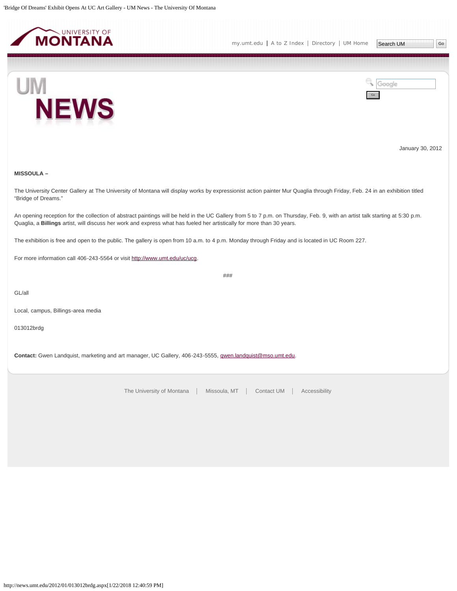<span id="page-11-0"></span>



January 30, 2012

## **MISSOULA –**

The University Center Gallery at The University of Montana will display works by expressionist action painter Mur Quaglia through Friday, Feb. 24 in an exhibition titled "Bridge of Dreams."

An opening reception for the collection of abstract paintings will be held in the UC Gallery from 5 to 7 p.m. on Thursday, Feb. 9, with an artist talk starting at 5:30 p.m. Quaglia, a **Billings** artist, will discuss her work and express what has fueled her artistically for more than 30 years.

The exhibition is free and open to the public. The gallery is open from 10 a.m. to 4 p.m. Monday through Friday and is located in UC Room 227.

For more information call 406-243-5564 or visit [http://www.umt.edu/uc/ucg.](http://www.umt.edu/uc/ucg)

###

GL/all

Local, campus, Billings-area media

013012brdg

**Contact:** Gwen Landquist, marketing and art manager, UC Gallery, 406-243-5555, [qwen.landquist@mso.umt.edu](mailto:qwen.landquist@mso.umt.edu).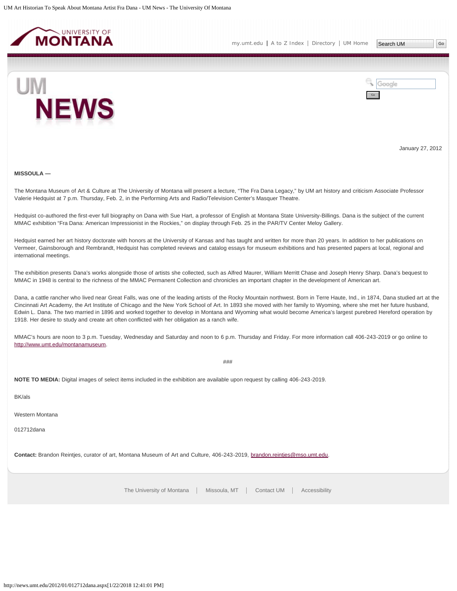<span id="page-12-0"></span>



January 27, 2012

#### **MISSOULA —**

The Montana Museum of Art & Culture at The University of Montana will present a lecture, "The Fra Dana Legacy," by UM art history and criticism Associate Professor Valerie Hedquist at 7 p.m. Thursday, Feb. 2, in the Performing Arts and Radio/Television Center's Masquer Theatre.

Hedquist co-authored the first-ever full biography on Dana with Sue Hart, a professor of English at Montana State University-Billings. Dana is the subject of the current MMAC exhibition "Fra Dana: American Impressionist in the Rockies," on display through Feb. 25 in the PAR/TV Center Meloy Gallery.

Hedquist earned her art history doctorate with honors at the University of Kansas and has taught and written for more than 20 years. In addition to her publications on Vermeer, Gainsborough and Rembrandt, Hedquist has completed reviews and catalog essays for museum exhibitions and has presented papers at local, regional and international meetings.

The exhibition presents Dana's works alongside those of artists she collected, such as Alfred Maurer, William Merritt Chase and Joseph Henry Sharp. Dana's bequest to MMAC in 1948 is central to the richness of the MMAC Permanent Collection and chronicles an important chapter in the development of American art.

Dana, a cattle rancher who lived near Great Falls, was one of the leading artists of the Rocky Mountain northwest. Born in Terre Haute, Ind., in 1874, Dana studied art at the Cincinnati Art Academy, the Art Institute of Chicago and the New York School of Art. In 1893 she moved with her family to Wyoming, where she met her future husband, Edwin L. Dana. The two married in 1896 and worked together to develop in Montana and Wyoming what would become America's largest purebred Hereford operation by 1918. Her desire to study and create art often conflicted with her obligation as a ranch wife.

MMAC's hours are noon to 3 p.m. Tuesday, Wednesday and Saturday and noon to 6 p.m. Thursday and Friday. For more information call 406-243-2019 or go online to [http://www.umt.edu/montanamuseum.](http://www.umt.edu/montanamuseum)

###

**NOTE TO MEDIA:** Digital images of select items included in the exhibition are available upon request by calling 406-243-2019.

BK/als

Western Montana

012712dana

**Contact:** Brandon Reintjes, curator of art, Montana Museum of Art and Culture, 406-243-2019, [brandon.reintjes@mso.umt.edu.](mailto:brandon.reintjes@mso.umt.edu)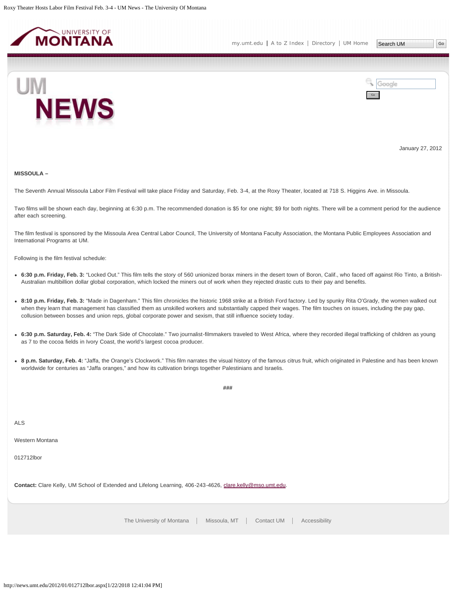<span id="page-13-0"></span>



January 27, 2012

#### **MISSOULA –**

The Seventh Annual Missoula Labor Film Festival will take place Friday and Saturday, Feb. 3-4, at the Roxy Theater, located at 718 S. Higgins Ave. in Missoula.

Two films will be shown each day, beginning at 6:30 p.m. The recommended donation is \$5 for one night; \$9 for both nights. There will be a comment period for the audience after each screening.

The film festival is sponsored by the Missoula Area Central Labor Council, The University of Montana Faculty Association, the Montana Public Employees Association and International Programs at UM.

Following is the film festival schedule:

- **6:30 p.m. Friday, Feb. 3:** "Locked Out." This film tells the story of 560 unionized borax miners in the desert town of Boron, Calif., who faced off against Rio Tinto, a British-Australian multibillion dollar global corporation, which locked the miners out of work when they rejected drastic cuts to their pay and benefits.
- **8:10 p.m. Friday, Feb. 3:** "Made in Dagenham." This film chronicles the historic 1968 strike at a British Ford factory. Led by spunky Rita O'Grady, the women walked out when they learn that management has classified them as unskilled workers and substantially capped their wages. The film touches on issues, including the pay gap, collusion between bosses and union reps, global corporate power and sexism, that still influence society today.
- **6:30 p.m. Saturday, Feb. 4:** "The Dark Side of Chocolate." Two journalist-filmmakers traveled to West Africa, where they recorded illegal trafficking of children as young as 7 to the cocoa fields in Ivory Coast, the world's largest cocoa producer.
- **8 p.m. Saturday, Feb. 4:** "Jaffa, the Orange's Clockwork." This film narrates the visual history of the famous citrus fruit, which originated in Palestine and has been known worldwide for centuries as "Jaffa oranges," and how its cultivation brings together Palestinians and Israelis.

**###**

ALS

Western Montana

012712lbor

**Contact:** Clare Kelly, UM School of Extended and Lifelong Learning, 406-243-4626, [clare.kelly@mso.umt.edu.](mailto:clare.kelly@mso.umt.edu)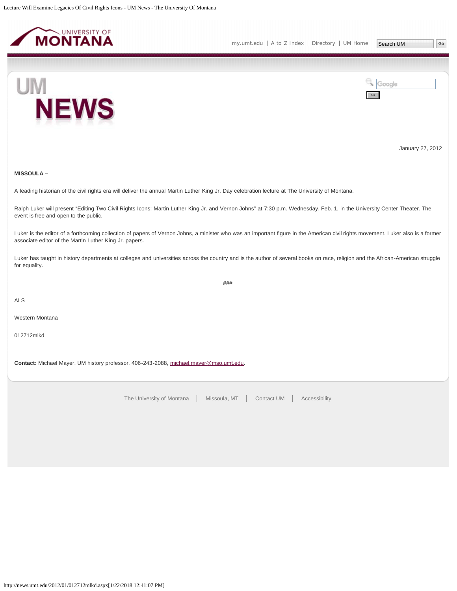<span id="page-14-0"></span>

**NEWS** 



January 27, 2012

## **MISSOULA –**

UM

A leading historian of the civil rights era will deliver the annual Martin Luther King Jr. Day celebration lecture at The University of Montana.

Ralph Luker will present "Editing Two Civil Rights Icons: Martin Luther King Jr. and Vernon Johns" at 7:30 p.m. Wednesday, Feb. 1, in the University Center Theater. The event is free and open to the public.

Luker is the editor of a forthcoming collection of papers of Vernon Johns, a minister who was an important figure in the American civil rights movement. Luker also is a former associate editor of the Martin Luther King Jr. papers.

Luker has taught in history departments at colleges and universities across the country and is the author of several books on race, religion and the African-American struggle for equality.

###

ALS

Western Montana

012712mlkd

**Contact:** Michael Mayer, UM history professor, 406-243-2088, [michael.mayer@mso.umt.edu.](mailto:michael.mayer@mso.umt.edu)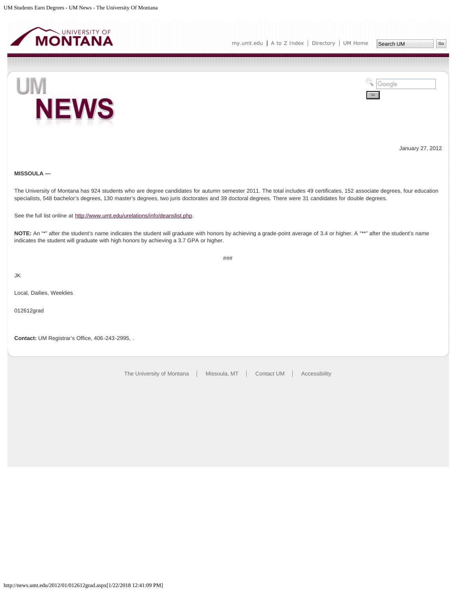<span id="page-15-0"></span>

Go

Google





January 27, 2012

## **MISSOULA —**

The University of Montana has 924 students who are degree candidates for autumn semester 2011. The total includes 49 certificates, 152 associate degrees, four education specialists, 548 bachelor's degrees, 130 master's degrees, two juris doctorates and 39 doctoral degrees. There were 31 candidates for double degrees.

See the full list online at [http://www.umt.edu/urelations/info/deanslist.php.](http://www.umt.edu/urelations/info/deanslist.php)

NOTE: An "\*" after the student's name indicates the student will graduate with honors by achieving a grade-point average of 3.4 or higher. A "\*\*" after the student's name indicates the student will graduate with high honors by achieving a 3.7 GPA or higher.

###

JK

Local, Dailies, Weeklies

012612grad

**Contact:** UM Registrar's Office, 406-243-2995, .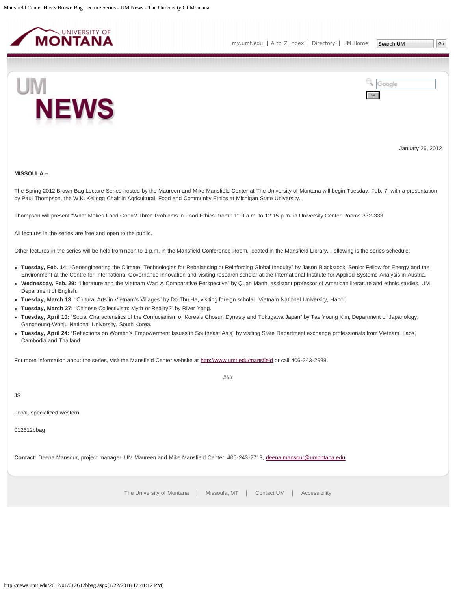<span id="page-16-0"></span>



January 26, 2012

#### **MISSOULA –**

The Spring 2012 Brown Bag Lecture Series hosted by the Maureen and Mike Mansfield Center at The University of Montana will begin Tuesday, Feb. 7, with a presentation by Paul Thompson, the W.K. Kellogg Chair in Agricultural, Food and Community Ethics at Michigan State University.

Thompson will present "What Makes Food Good? Three Problems in Food Ethics" from 11:10 a.m. to 12:15 p.m. in University Center Rooms 332-333.

All lectures in the series are free and open to the public.

Other lectures in the series will be held from noon to 1 p.m. in the Mansfield Conference Room, located in the Mansfield Library. Following is the series schedule:

- **Tuesday, Feb. 14:** "Geoengineering the Climate: Technologies for Rebalancing or Reinforcing Global Inequity" by Jason Blackstock, Senior Fellow for Energy and the Environment at the Centre for International Governance Innovation and visiting research scholar at the International Institute for Applied Systems Analysis in Austria.
- **Wednesday, Feb. 29:** "Literature and the Vietnam War: A Comparative Perspective" by Quan Manh, assistant professor of American literature and ethnic studies, UM Department of English.
- **Tuesday, March 13:** "Cultural Arts in Vietnam's Villages" by Do Thu Ha, visiting foreign scholar, Vietnam National University, Hanoi.
- **Tuesday, March 27:** "Chinese Collectivism: Myth or Reality?" by River Yang.
- **Tuesday, April 10:** "Social Characteristics of the Confucianism of Korea's Chosun Dynasty and Tokugawa Japan" by Tae Young Kim, Department of Japanology, Gangneung-Wonju National University, South Korea.
- **Tuesday, April 24:** "Reflections on Women's Empowerment Issues in Southeast Asia" by visiting State Department exchange professionals from Vietnam, Laos, Cambodia and Thailand.

###

For more information about the series, visit the Mansfield Center website at<http://www.umt.edu/mansfield> or call 406-243-2988.

JS

Local, specialized western

012612bbag

**Contact:** Deena Mansour, project manager, UM Maureen and Mike Mansfield Center, 406-243-2713, [deena.mansour@umontana.edu](mailto:deena.mansour@umontana.edu).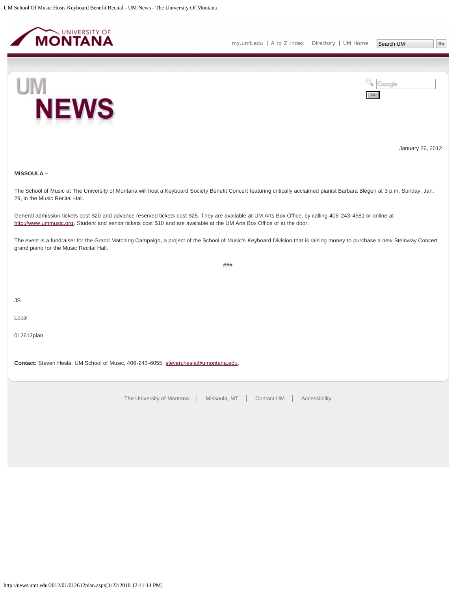<span id="page-17-0"></span>

Go

Google



January 26, 2012

## **MISSOULA –**

The School of Music at The University of Montana will host a Keyboard Society Benefit Concert featuring critically acclaimed pianist Barbara Blegen at 3 p.m. Sunday, Jan. 29, in the Music Recital Hall.

General admission tickets cost \$20 and advance reserved tickets cost \$25. They are available at UM Arts Box Office, by calling 406-243-4581 or online at [http://www.ummusic.org.](http://www.ummusic.org/) Student and senior tickets cost \$10 and are available at the UM Arts Box Office or at the door.

The event is a fundraiser for the Grand Matching Campaign, a project of the School of Music's Keyboard Division that is raising money to purchase a new Steinway Concert grand piano for the Music Recital Hall.

###

JS

Local

012612pian

Contact: Steven Hesla, UM School of Music, 406-243-6055, [steven.hesla@umontana.edu.](mailto:steven.hesla@umontana.edu)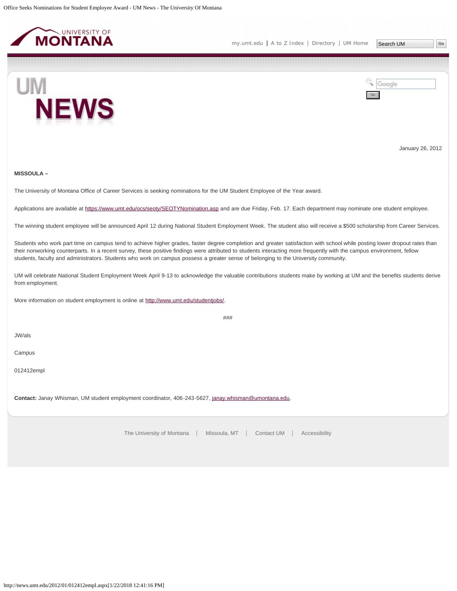<span id="page-18-0"></span>



January 26, 2012

## **MISSOULA –**

The University of Montana Office of Career Services is seeking nominations for the UM Student Employee of the Year award.

Applications are available at<https://www.umt.edu/ocs/seoty/SEOTYNomination.asp> and are due Friday, Feb. 17. Each department may nominate one student employee.

The winning student employee will be announced April 12 during National Student Employment Week. The student also will receive a \$500 scholarship from Career Services.

Students who work part time on campus tend to achieve higher grades, faster degree completion and greater satisfaction with school while posting lower dropout rates than their nonworking counterparts. In a recent survey, these positive findings were attributed to students interacting more frequently with the campus environment, fellow students, faculty and administrators. Students who work on campus possess a greater sense of belonging to the University community.

UM will celebrate National Student Employment Week April 9-13 to acknowledge the valuable contributions students make by working at UM and the benefits students derive from employment.

###

More information on student employment is online at<http://www.umt.edu/studentjobs/>.

JW/als

Campus

012412empl

**Contact:** Janay Whisman, UM student employment coordinator, 406-243-5627, [janay.whisman@umontana.edu](mailto:janay.whisman@umontana.edu).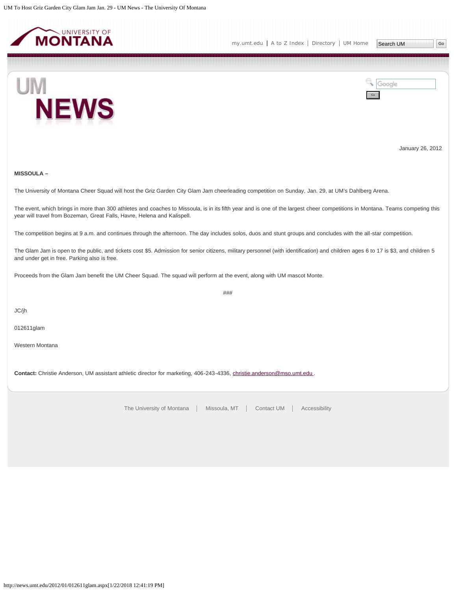<span id="page-19-0"></span>



January 26, 2012

## **MISSOULA –**

The University of Montana Cheer Squad will host the Griz Garden City Glam Jam cheerleading competition on Sunday, Jan. 29, at UM's Dahlberg Arena.

The event, which brings in more than 300 athletes and coaches to Missoula, is in its fifth year and is one of the largest cheer competitions in Montana. Teams competing this year will travel from Bozeman, Great Falls, Havre, Helena and Kalispell.

The competition begins at 9 a.m. and continues through the afternoon. The day includes solos, duos and stunt groups and concludes with the all-star competition.

The Glam Jam is open to the public, and tickets cost \$5. Admission for senior citizens, military personnel (with identification) and children ages 6 to 17 is \$3, and children 5 and under get in free. Parking also is free.

###

Proceeds from the Glam Jam benefit the UM Cheer Squad. The squad will perform at the event, along with UM mascot Monte.

JC/jh

012611glam

Western Montana

Contact: Christie Anderson, UM assistant athletic director for marketing, 406-243-4336, christie.anderson@mso.umt.edu.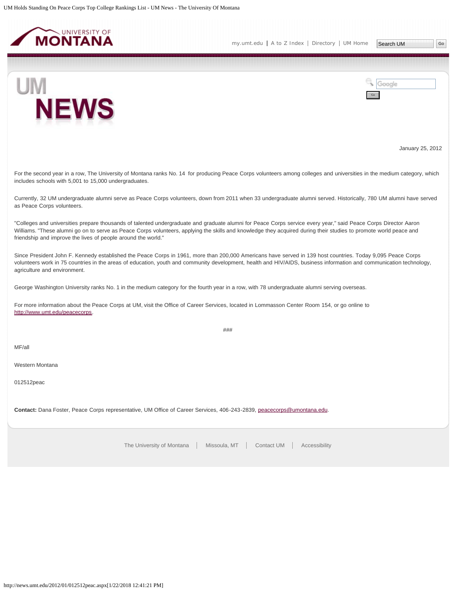<span id="page-20-0"></span>

**NEWS** 

UM



January 25, 2012

For the second year in a row, The University of Montana ranks No. 14 for producing Peace Corps volunteers among colleges and universities in the medium category, which includes schools with 5,001 to 15,000 undergraduates.

Currently, 32 UM undergraduate alumni serve as Peace Corps volunteers, down from 2011 when 33 undergraduate alumni served. Historically, 780 UM alumni have served as Peace Corps volunteers.

"Colleges and universities prepare thousands of talented undergraduate and graduate alumni for Peace Corps service every year," said Peace Corps Director Aaron Williams. "These alumni go on to serve as Peace Corps volunteers, applying the skills and knowledge they acquired during their studies to promote world peace and friendship and improve the lives of people around the world."

Since President John F. Kennedy established the Peace Corps in 1961, more than 200,000 Americans have served in 139 host countries. Today 9,095 Peace Corps volunteers work in 75 countries in the areas of education, youth and community development, health and HIV/AIDS, business information and communication technology, agriculture and environment.

George Washington University ranks No. 1 in the medium category for the fourth year in a row, with 78 undergraduate alumni serving overseas.

For more information about the Peace Corps at UM, visit the Office of Career Services, located in Lommasson Center Room 154, or go online to <http://www.umt.edu/peacecorps>.

###

MF/all

Western Montana

012512peac

**Contact:** Dana Foster, Peace Corps representative, UM Office of Career Services, 406-243-2839, [peacecorps@umontana.edu](mailto:peacecorps@umontana.edu).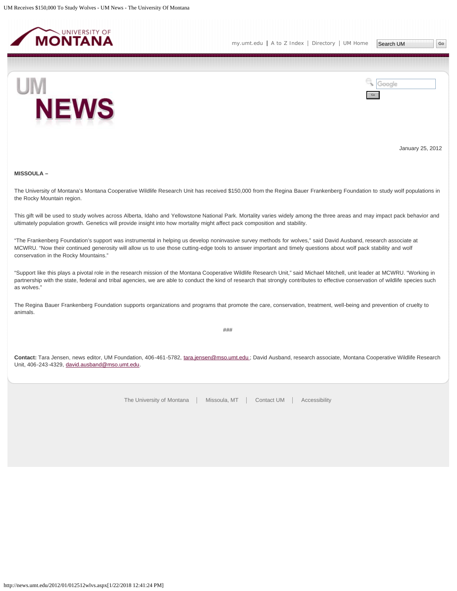<span id="page-21-0"></span>



January 25, 2012

## **MISSOULA –**

The University of Montana's Montana Cooperative Wildlife Research Unit has received \$150,000 from the Regina Bauer Frankenberg Foundation to study wolf populations in the Rocky Mountain region.

This gift will be used to study wolves across Alberta, Idaho and Yellowstone National Park. Mortality varies widely among the three areas and may impact pack behavior and ultimately population growth. Genetics will provide insight into how mortality might affect pack composition and stability.

"The Frankenberg Foundation's support was instrumental in helping us develop noninvasive survey methods for wolves," said David Ausband, research associate at MCWRU. "Now their continued generosity will allow us to use those cutting-edge tools to answer important and timely questions about wolf pack stability and wolf conservation in the Rocky Mountains."

"Support like this plays a pivotal role in the research mission of the Montana Cooperative Wildlife Research Unit," said Michael Mitchell, unit leader at MCWRU. "Working in partnership with the state, federal and tribal agencies, we are able to conduct the kind of research that strongly contributes to effective conservation of wildlife species such as wolves."

The Regina Bauer Frankenberg Foundation supports organizations and programs that promote the care, conservation, treatment, well-being and prevention of cruelty to animals.

###

**Contact:** Tara Jensen, news editor, UM Foundation, 406-461-5782, [tara.jensen@mso.umt.edu ;](mailto:tara.jensen@mso.umt.edu) David Ausband, research associate, Montana Cooperative Wildlife Research Unit, 406-243-4329, [david.ausband@mso.umt.edu.](mailto:david.ausband@mso.umt.edu)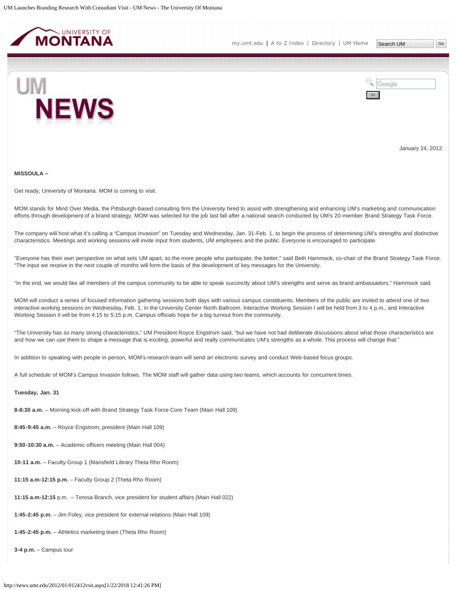<span id="page-22-0"></span>



January 24, 2012

**MISSOULA –**

Get ready, University of Montana. MOM is coming to visit.

MOM stands for Mind Over Media, the Pittsburgh-based consulting firm the University hired to assist with strengthening and enhancing UM's marketing and communication efforts through development of a brand strategy. MOM was selected for the job last fall after a national search conducted by UM's 20-member Brand Strategy Task Force.

The company will host what it's calling a "Campus Invasion" on Tuesday and Wednesday, Jan. 31-Feb. 1, to begin the process of determining UM's strengths and distinctive characteristics. Meetings and working sessions will invite input from students, UM employees and the public. Everyone is encouraged to participate.

"Everyone has their own perspective on what sets UM apart, so the more people who participate, the better," said Beth Hammock, co-chair of the Brand Strategy Task Force. "The input we receive in the next couple of months will form the basis of the development of key messages for the University.

"In the end, we would like all members of the campus community to be able to speak succinctly about UM's strengths and serve as brand ambassadors," Hammock said.

MOM will conduct a series of focused information gathering sessions both days with various campus constituents. Members of the public are invited to attend one of two interactive working sessions on Wednesday, Feb. 1, in the University Center North Ballroom. Interactive Working Session I will be held from 3 to 4 p.m., and Interactive Working Session II will be from 4:15 to 5:15 p.m. Campus officials hope for a big turnout from the community.

"The University has so many strong characteristics," UM President Royce Engstrom said, "but we have not had deliberate discussions about what those characteristics are and how we can use them to shape a message that is exciting, powerful and really communicates UM's strengths as a whole. This process will change that."

In addition to speaking with people in person, MOM's research team will send an electronic survey and conduct Web-based focus groups.

A full schedule of MOM's Campus Invasion follows. The MOM staff will gather data using two teams, which accounts for concurrent times.

## **Tuesday, Jan. 31**

**8-8:30 a.m.** – Morning kick-off with Brand Strategy Task Force Core Team (Main Hall 109)

**8:45-9:45 a.m.** – Royce Engstrom, president (Main Hall 109)

**9:50-10:30 a.m.** – Academic officers meeting (Main Hall 004)

**10-11 a.m.** – Faculty Group 1 (Mansfield Library Theta Rho Room)

**11:15 a.m-12:15 p.m.** – Faculty Group 2 (Theta Rho Room)

**11:15 a.m-12:15** p.m. – Teresa Branch, vice president for student affairs (Main Hall 022)

**1:45-2:45 p.m.** – Jim Foley, vice president for external relations (Main Hall 109)

**1:45-2:45 p.m.** – Athletics marketing team (Theta Rho Room)

**3-4 p.m.** – Campus tour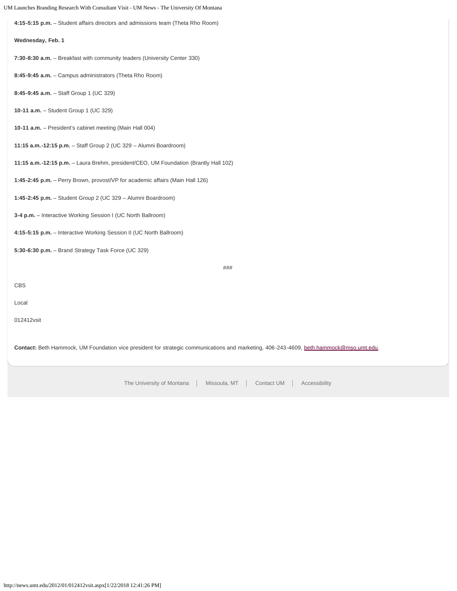| UM Launches Branding Research With Consultant Visit - UM News - The University Of Montana |                                                                                                                                                |
|-------------------------------------------------------------------------------------------|------------------------------------------------------------------------------------------------------------------------------------------------|
|                                                                                           | 4:15-5:15 p.m. - Student affairs directors and admissions team (Theta Rho Room)                                                                |
|                                                                                           | Wednesday, Feb. 1                                                                                                                              |
|                                                                                           | 7:30-8:30 a.m. - Breakfast with community leaders (University Center 330)                                                                      |
|                                                                                           | 8:45-9:45 a.m. - Campus administrators (Theta Rho Room)                                                                                        |
|                                                                                           | 8:45-9:45 a.m. - Staff Group 1 (UC 329)                                                                                                        |
|                                                                                           | 10-11 a.m. - Student Group 1 (UC 329)                                                                                                          |
|                                                                                           | 10-11 a.m. - President's cabinet meeting (Main Hall 004)                                                                                       |
|                                                                                           | 11:15 a.m.-12:15 p.m. - Staff Group 2 (UC 329 - Alumni Boardroom)                                                                              |
|                                                                                           | 11:15 a.m.-12:15 p.m. - Laura Brehm, president/CEO, UM Foundation (Brantly Hall 102)                                                           |
|                                                                                           | 1:45-2:45 p.m. - Perry Brown, provost/VP for academic affairs (Main Hall 126)                                                                  |
|                                                                                           | 1:45-2:45 p.m. - Student Group 2 (UC 329 - Alumni Boardroom)                                                                                   |
|                                                                                           | 3-4 p.m. - Interactive Working Session I (UC North Ballroom)                                                                                   |
|                                                                                           | 4:15-5:15 p.m. – Interactive Working Session II (UC North Ballroom)                                                                            |
|                                                                                           | 5:30-6:30 p.m. - Brand Strategy Task Force (UC 329)                                                                                            |
|                                                                                           | ###                                                                                                                                            |
|                                                                                           | <b>CBS</b>                                                                                                                                     |
|                                                                                           | Local                                                                                                                                          |
|                                                                                           | 012412vsit                                                                                                                                     |
|                                                                                           |                                                                                                                                                |
|                                                                                           | <b>Contact:</b> Beth Hammock, UM Foundation vice president for strategic communications and marketing, 406-243-4609, beth.hammock@mso.umt.edu. |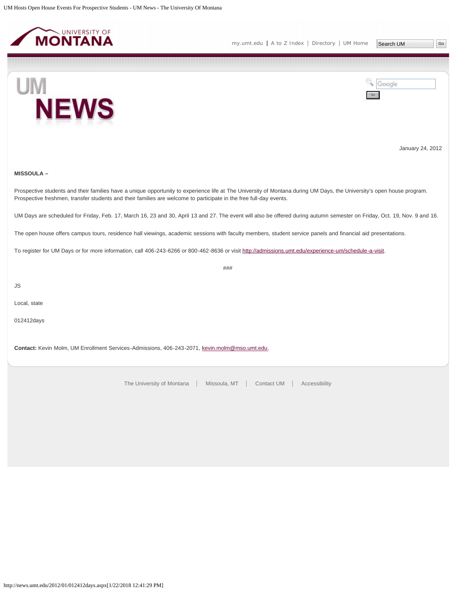<span id="page-24-0"></span>



January 24, 2012

## **MISSOULA –**

Prospective students and their families have a unique opportunity to experience life at The University of Montana during UM Days, the University's open house program. Prospective freshmen, transfer students and their families are welcome to participate in the free full-day events.

UM Days are scheduled for Friday, Feb. 17, March 16, 23 and 30, April 13 and 27. The event will also be offered during autumn semester on Friday, Oct. 19, Nov. 9 and 16.

The open house offers campus tours, residence hall viewings, academic sessions with faculty members, student service panels and financial aid presentations.

To register for UM Days or for more information, call 406-243-6266 or 800-462-8636 or visit [http://admissions.umt.edu/experience-um/schedule-a-visit.](http://admissions.umt.edu/experience-um/schedule-a-visit)

###

JS

Local, state

012412days

**Contact:** Kevin Molm, UM Enrollment Services-Admissions, 406-243-2071, [kevin.molm@mso.umt.edu.](mailto:kevin.molm@mso.umt.edu)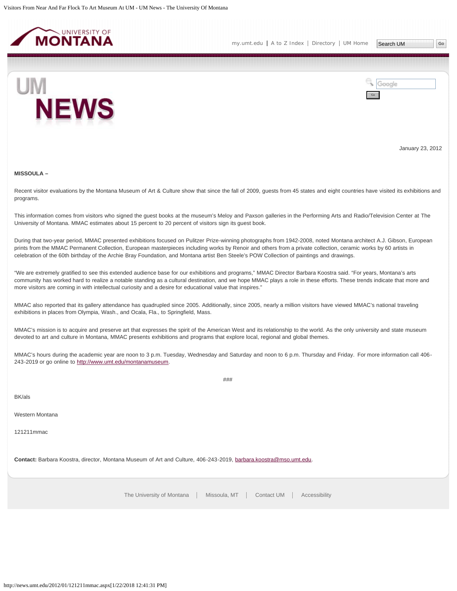<span id="page-25-0"></span>

[my.umt.edu](http://my.umt.edu/) | [A to Z Index](http://www.umt.edu/search/atoz/) | [Directory](http://www.umt.edu/directory/) | [UM Home](http://www.umt.edu/)

Search UM



Google Go

January 23, 2012

#### **MISSOULA –**

Recent visitor evaluations by the Montana Museum of Art & Culture show that since the fall of 2009, guests from 45 states and eight countries have visited its exhibitions and programs.

This information comes from visitors who signed the guest books at the museum's Meloy and Paxson galleries in the Performing Arts and Radio/Television Center at The University of Montana. MMAC estimates about 15 percent to 20 percent of visitors sign its guest book.

During that two-year period, MMAC presented exhibitions focused on Pulitzer Prize-winning photographs from 1942-2008, noted Montana architect A.J. Gibson, European prints from the MMAC Permanent Collection, European masterpieces including works by Renoir and others from a private collection, ceramic works by 60 artists in celebration of the 60th birthday of the Archie Bray Foundation, and Montana artist Ben Steele's POW Collection of paintings and drawings.

"We are extremely gratified to see this extended audience base for our exhibitions and programs," MMAC Director Barbara Koostra said. "For years, Montana's arts community has worked hard to realize a notable standing as a cultural destination, and we hope MMAC plays a role in these efforts. These trends indicate that more and more visitors are coming in with intellectual curiosity and a desire for educational value that inspires."

MMAC also reported that its gallery attendance has quadrupled since 2005. Additionally, since 2005, nearly a million visitors have viewed MMAC's national traveling exhibitions in places from Olympia, Wash., and Ocala, Fla., to Springfield, Mass.

MMAC's mission is to acquire and preserve art that expresses the spirit of the American West and its relationship to the world. As the only university and state museum devoted to art and culture in Montana, MMAC presents exhibitions and programs that explore local, regional and global themes.

MMAC's hours during the academic year are noon to 3 p.m. Tuesday, Wednesday and Saturday and noon to 6 p.m. Thursday and Friday. For more information call 406-243-2019 or go online to [http://www.umt.edu/montanamuseum.](http://www.umt.edu/montanamuseum)

BK/als

Western Montana

121211mmac

**Contact:** Barbara Koostra, director, Montana Museum of Art and Culture, 406-243-2019, [barbara.koostra@mso.umt.edu](mailto:barbara.koostra@mso.umt.edu).

[The University of Montana](http://www.umt.edu/) | Missoula, MT | [Contact UM](http://www.umt.edu/comments) | [Accessibility](http://www.umt.edu/home/accessibility)

###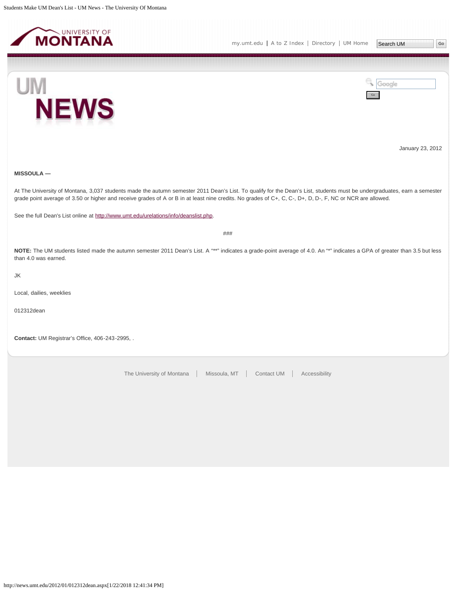<span id="page-26-0"></span>

Go

Google



January 23, 2012

## **MISSOULA —**

At The University of Montana, 3,037 students made the autumn semester 2011 Dean's List. To qualify for the Dean's List, students must be undergraduates, earn a semester grade point average of 3.50 or higher and receive grades of A or B in at least nine credits. No grades of C+, C, C-, D+, D, D-, F, NC or NCR are allowed.

See the full Dean's List online at [http://www.umt.edu/urelations/info/deanslist.php.](http://www.umt.edu/urelations/info/deanslist.php)

###

**NOTE:** The UM students listed made the autumn semester 2011 Dean's List. A "\*\*" indicates a grade-point average of 4.0. An "\*" indicates a GPA of greater than 3.5 but less than 4.0 was earned.

JK

Local, dailies, weeklies

012312dean

**Contact:** UM Registrar's Office, 406-243-2995, .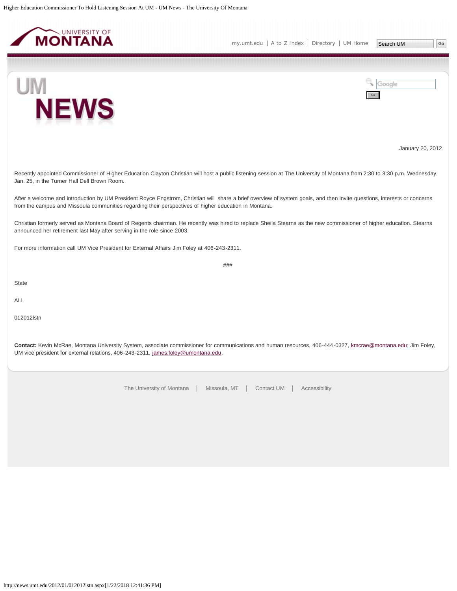<span id="page-27-0"></span>



Go

Google



January 20, 2012

Recently appointed Commissioner of Higher Education Clayton Christian will host a public listening session at The University of Montana from 2:30 to 3:30 p.m. Wednesday, Jan. 25, in the Turner Hall Dell Brown Room.

After a welcome and introduction by UM President Royce Engstrom, Christian will share a brief overview of system goals, and then invite questions, interests or concerns from the campus and Missoula communities regarding their perspectives of higher education in Montana.

Christian formerly served as Montana Board of Regents chairman. He recently was hired to replace Sheila Stearns as the new commissioner of higher education. Stearns announced her retirement last May after serving in the role since 2003.

For more information call UM Vice President for External Affairs Jim Foley at 406-243-2311.

###

**State** 

ALL

012012lstn

**Contact:** Kevin McRae, Montana University System, associate commissioner for communications and human resources, 406-444-0327, [kmcrae@montana.edu](mailto:kmcrae@montana.edu); Jim Foley, UM vice president for external relations, 406-243-2311, [james.foley@umontana.edu](mailto:james.foley@umontana.edu).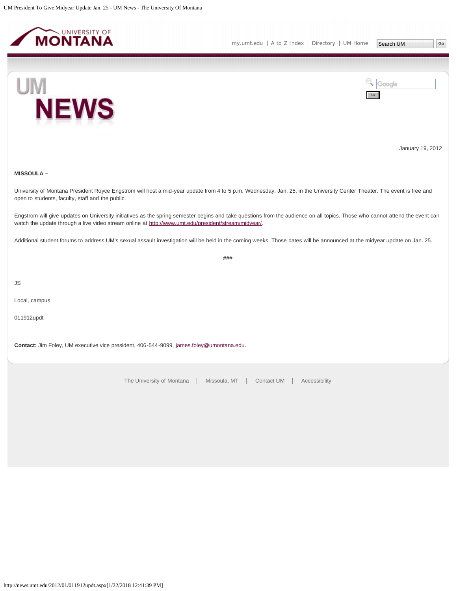<span id="page-28-0"></span>



January 19, 2012

## **MISSOULA –**

University of Montana President Royce Engstrom will host a mid-year update from 4 to 5 p.m. Wednesday, Jan. 25, in the University Center Theater. The event is free and open to students, faculty, staff and the public.

Engstrom will give updates on University initiatives as the spring semester begins and take questions from the audience on all topics. Those who cannot attend the event can watch the update through a live video stream online at [http://www.umt.edu/president/stream/midyear/.](http://www.umt.edu/president/stream/midyear/)

Additional student forums to address UM's sexual assault investigation will be held in the coming weeks. Those dates will be announced at the midyear update on Jan. 25.

###

JS

Local, campus

011912updt

**Contact:** Jim Foley, UM executive vice president, 406-544-9099, [james.foley@umontana.edu](mailto:james.foley@umontana.edu).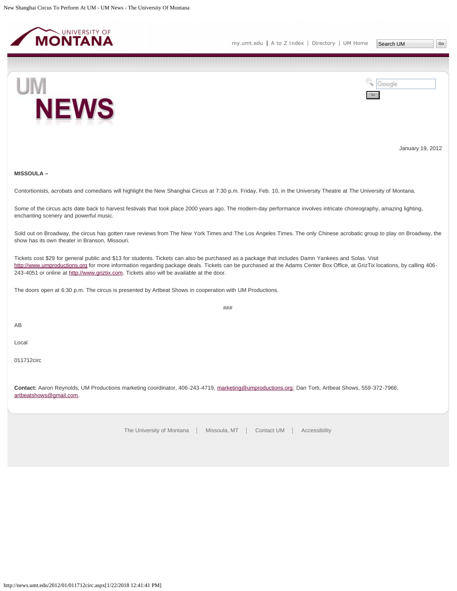<span id="page-29-0"></span>



January 19, 2012

## **MISSOULA –**

Contortionists, acrobats and comedians will highlight the New Shanghai Circus at 7:30 p.m. Friday, Feb. 10, in the University Theatre at The University of Montana.

Some of the circus acts date back to harvest festivals that took place 2000 years ago. The modern-day performance involves intricate choreography, amazing lighting, enchanting scenery and powerful music.

Sold out on Broadway, the circus has gotten rave reviews from The New York Times and The Los Angeles Times. The only Chinese acrobatic group to play on Broadway, the show has its own theater in Branson, Missouri.

Tickets cost \$29 for general public and \$13 for students. Tickets can also be purchased as a package that includes Damn Yankees and Solas. Visit [http://www.umproductions.org](http://www.umproductions.org/) for more information regarding package deals. Tickets can be purchased at the Adams Center Box Office, at GrizTix locations, by calling 406 243-4051 or online at [http://www.griztix.com.](http://www.griztix.com/) Tickets also will be available at the door.

###

The doors open at 6:30 p.m. The circus is presented by Artbeat Shows in cooperation with UM Productions.

AB

Local

011712circ

**Contact:** Aaron Reynolds, UM Productions marketing coordinator, 406-243-4719, [marketing@umproductions.org;](mailto:marketing@umproductions.org) Dan Torti, Artbeat Shows, 559-372-7966, [artbeatshows@gmail.com.](mailto:artbeatshows@gmail.com)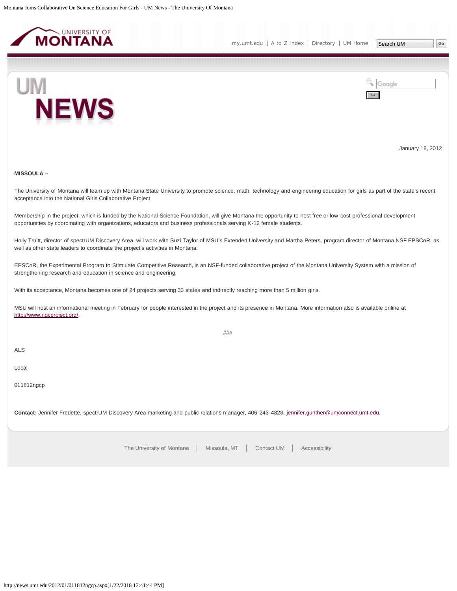<span id="page-30-0"></span>



January 18, 2012

### **MISSOULA –**

The University of Montana will team up with Montana State University to promote science, math, technology and engineering education for girls as part of the state's recent acceptance into the National Girls Collaborative Project.

Membership in the project, which is funded by the National Science Foundation, will give Montana the opportunity to host free or low-cost professional development opportunities by coordinating with organizations, educators and business professionals serving K-12 female students.

Holly Truitt, director of spectrUM Discovery Area, will work with Suzi Taylor of MSU's Extended University and Martha Peters, program director of Montana NSF EPSCoR, as well as other state leaders to coordinate the project's activities in Montana.

EPSCoR, the Experimental Program to Stimulate Competitive Research, is an NSF-funded collaborative project of the Montana University System with a mission of strengthening research and education in science and engineering.

With its acceptance, Montana becomes one of 24 projects serving 33 states and indirectly reaching more than 5 million girls.

MSU will host an informational meeting in February for people interested in the project and its presence in Montana. More information also is available online at [http://www.ngcproject.org/.](http://www.ngcproject.org/)

###

ALS

Local

011812ngcp

Contact: Jennifer Fredette, spectrUM Discovery Area marketing and public relations manager, 406-243-4828, [jennifer.gunther@umconnect.umt.edu](mailto:jennifer.gunther@umconnect.umt.edu).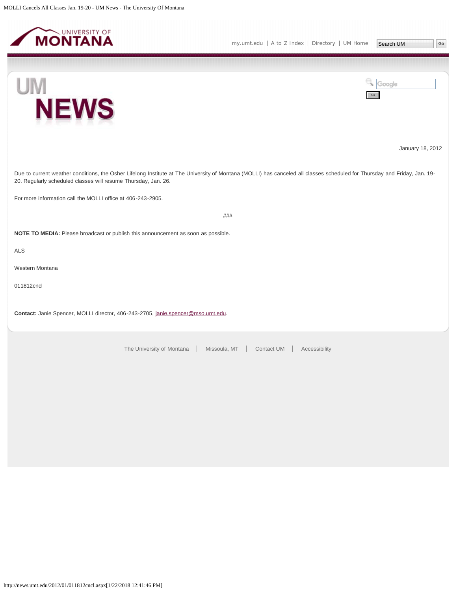<span id="page-31-0"></span>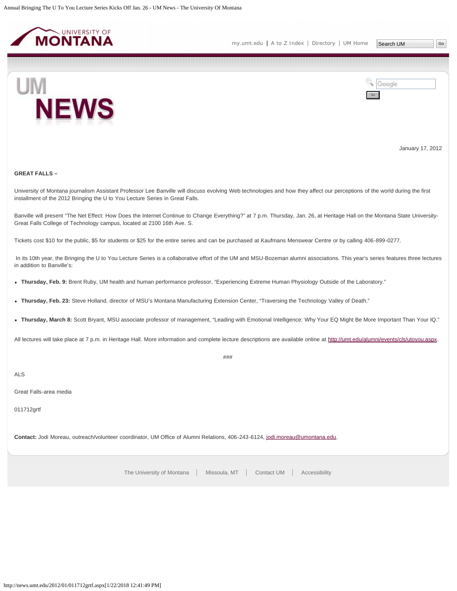<span id="page-32-0"></span>

Go

Google



January 17, 2012

## **GREAT FALLS –**

University of Montana journalism Assistant Professor Lee Banville will discuss evolving Web technologies and how they affect our perceptions of the world during the first installment of the 2012 Bringing the U to You Lecture Series in Great Falls.

Banville will present "The Net Effect: How Does the Internet Continue to Change Everything?" at 7 p.m. Thursday, Jan. 26, at Heritage Hall on the Montana State University-Great Falls College of Technology campus, located at 2100 16th Ave. S.

Tickets cost \$10 for the public, \$5 for students or \$25 for the entire series and can be purchased at Kaufmans Menswear Centre or by calling 406-899-0277.

In its 10th year, the Bringing the U to You Lecture Series is a collaborative effort of the UM and MSU-Bozeman alumni associations. This year's series features three lectures in addition to Banville's:

**Thursday, Feb. 9:** Brent Ruby, UM health and human performance professor, "Experiencing Extreme Human Physiology Outside of the Laboratory."

- **Thursday, Feb. 23:** Steve Holland, director of MSU's Montana Manufacturing Extension Center, "Traversing the Technology Valley of Death."
- **Thursday, March 8:** Scott Bryant, MSU associate professor of management, "Leading with Emotional Intelligence: Why Your EQ Might Be More Important Than Your IQ."

All lectures will take place at 7 p.m. in Heritage Hall. More information and complete lecture descriptions are available online at [http://umt.edu/alumni/events/cls/utoyou.aspx.](http://umt.edu/alumni/events/cls/utoyou.aspx)

###

ALS

Great Falls-area media

011712grtf

**Contact:** Jodi Moreau, outreach/volunteer coordinator, UM Office of Alumni Relations, 406-243-6124, [jodi.moreau@umontana.edu.](mailto:jodi.moreau@umontana.edu)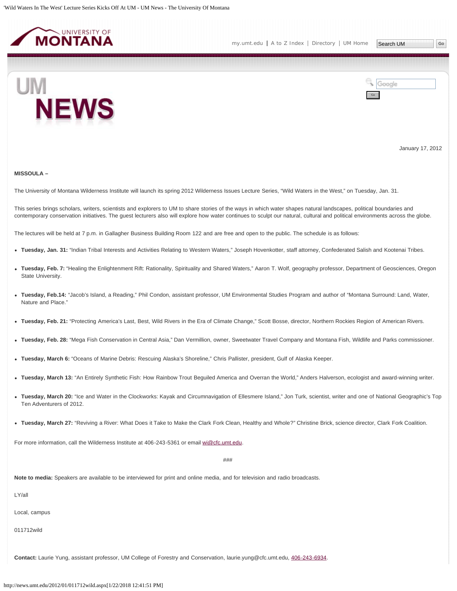<span id="page-33-0"></span>



January 17, 2012

#### **MISSOULA –**

The University of Montana Wilderness Institute will launch its spring 2012 Wilderness Issues Lecture Series, "Wild Waters in the West," on Tuesday, Jan. 31.

This series brings scholars, writers, scientists and explorers to UM to share stories of the ways in which water shapes natural landscapes, political boundaries and contemporary conservation initiatives. The guest lecturers also will explore how water continues to sculpt our natural, cultural and political environments across the globe.

The lectures will be held at 7 p.m. in Gallagher Business Building Room 122 and are free and open to the public. The schedule is as follows:

- **Tuesday, Jan. 31:** "Indian Tribal Interests and Activities Relating to Western Waters," Joseph Hovenkotter, staff attorney, Confederated Salish and Kootenai Tribes.
- **Tuesday, Feb. 7:** "Healing the Enlightenment Rift: Rationality, Spirituality and Shared Waters," Aaron T. Wolf, geography professor, Department of Geosciences, Oregon State University.
- **Tuesday, Feb.14:** "Jacob's Island, a Reading," Phil Condon, assistant professor, UM Environmental Studies Program and author of "Montana Surround: Land, Water, Nature and Place."
- **Tuesday, Feb. 21:** "Protecting America's Last, Best, Wild Rivers in the Era of Climate Change," Scott Bosse, director, Northern Rockies Region of American Rivers.
- **Tuesday, Feb. 28:** "Mega Fish Conservation in Central Asia," Dan Vermillion, owner, Sweetwater Travel Company and Montana Fish, Wildlife and Parks commissioner.
- **Tuesday, March 6:** "Oceans of Marine Debris: Rescuing Alaska's Shoreline," Chris Pallister, president, Gulf of Alaska Keeper.
- **Tuesday, March 13:** "An Entirely Synthetic Fish: How Rainbow Trout Beguiled America and Overran the World," Anders Halverson, ecologist and award-winning writer.
- **Tuesday, March 20:** "Ice and Water in the Clockworks: Kayak and Circumnavigation of Ellesmere Island," Jon Turk, scientist, writer and one of National Geographic's Top Ten Adventurers of 2012.
- **Tuesday, March 27:** "Reviving a River: What Does it Take to Make the Clark Fork Clean, Healthy and Whole?" Christine Brick, science director, Clark Fork Coalition.

For more information, call the Wilderness Institute at 406-243-5361 or email [wi@cfc.umt.edu](mailto:wi@cfc.umt.edu).

###

**Note to media:** Speakers are available to be interviewed for print and online media, and for television and radio broadcasts.

LY/all

Local, campus

011712wild

**Contact:** Laurie Yung, assistant professor, UM College of Forestry and Conservation, laurie.yung@cfc.umt.edu, [406-243-6934](mailto:406-243-6934).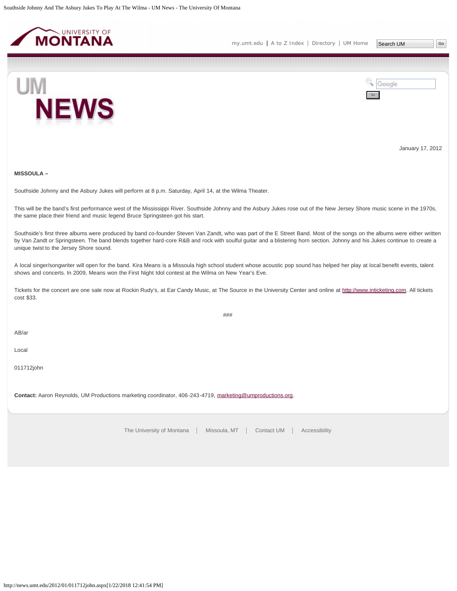<span id="page-35-0"></span>



January 17, 2012

## **MISSOULA –**

Southside Johnny and the Asbury Jukes will perform at 8 p.m. Saturday, April 14, at the Wilma Theater.

This will be the band's first performance west of the Mississippi River. Southside Johnny and the Asbury Jukes rose out of the New Jersey Shore music scene in the 1970s, the same place their friend and music legend Bruce Springsteen got his start.

Southside's first three albums were produced by band co-founder Steven Van Zandt, who was part of the E Street Band. Most of the songs on the albums were either written by Van Zandt or Springsteen. The band blends together hard-core R&B and rock with soulful guitar and a blistering horn section. Johnny and his Jukes continue to create a unique twist to the Jersey Shore sound.

A local singer/songwriter will open for the band. Kira Means is a Missoula high school student whose acoustic pop sound has helped her play at local benefit events, talent shows and concerts. In 2009, Means won the First Night Idol contest at the Wilma on New Year's Eve.

Tickets for the concert are one sale now at Rockin Rudy's, at Ear Candy Music, at The Source in the University Center and online at [http://www.inticketing.com.](http://www.inticketing.com/) All tickets cost \$33.

###

AB/ar

Local

011712john

**Contact:** Aaron Reynolds, UM Productions marketing coordinator, 406-243-4719, [marketing@umproductions.org.](mailto:marketing@umproductions.org)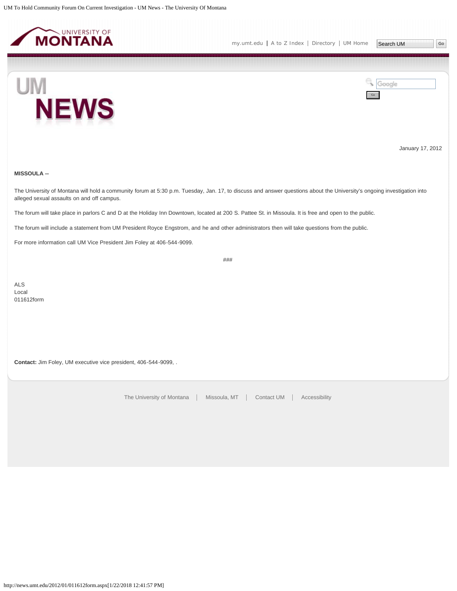<span id="page-36-0"></span>



January 17, 2012

## **MISSOULA --**

The University of Montana will hold a community forum at 5:30 p.m. Tuesday, Jan. 17, to discuss and answer questions about the University's ongoing investigation into alleged sexual assaults on and off campus.

The forum will take place in parlors C and D at the Holiday Inn Downtown, located at 200 S. Pattee St. in Missoula. It is free and open to the public.

The forum will include a statement from UM President Royce Engstrom, and he and other administrators then will take questions from the public.

For more information call UM Vice President Jim Foley at 406-544-9099.

###

ALS Local 011612form

**Contact:** Jim Foley, UM executive vice president, 406-544-9099, .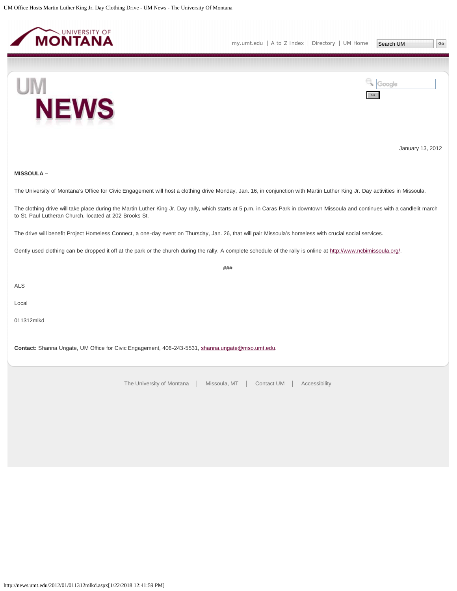<span id="page-37-0"></span>

**NEWS** 



January 13, 2012

## **MISSOULA –**

UM

The University of Montana's Office for Civic Engagement will host a clothing drive Monday, Jan. 16, in conjunction with Martin Luther King Jr. Day activities in Missoula.

The clothing drive will take place during the Martin Luther King Jr. Day rally, which starts at 5 p.m. in Caras Park in downtown Missoula and continues with a candlelit march to St. Paul Lutheran Church, located at 202 Brooks St.

The drive will benefit Project Homeless Connect, a one-day event on Thursday, Jan. 26, that will pair Missoula's homeless with crucial social services.

Gently used clothing can be dropped it off at the park or the church during the rally. A complete schedule of the rally is online at<http://www.ncbimissoula.org/>.

###

ALS

Local

011312mlkd

**Contact:** Shanna Ungate, UM Office for Civic Engagement, 406-243-5531, [shanna.ungate@mso.umt.edu.](mailto:shanna.ungate@mso.umt.edu)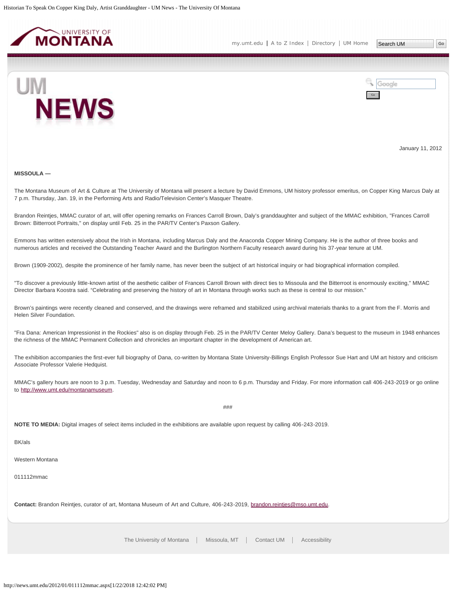<span id="page-38-0"></span>



January 11, 2012

#### **MISSOULA —**

The Montana Museum of Art & Culture at The University of Montana will present a lecture by David Emmons, UM history professor emeritus, on Copper King Marcus Daly at 7 p.m. Thursday, Jan. 19, in the Performing Arts and Radio/Television Center's Masquer Theatre.

Brandon Reintjes, MMAC curator of art, will offer opening remarks on Frances Carroll Brown, Daly's granddaughter and subject of the MMAC exhibition, "Frances Carroll Brown: Bitterroot Portraits," on display until Feb. 25 in the PAR/TV Center's Paxson Gallery.

Emmons has written extensively about the Irish in Montana, including Marcus Daly and the Anaconda Copper Mining Company. He is the author of three books and numerous articles and received the Outstanding Teacher Award and the Burlington Northern Faculty research award during his 37-year tenure at UM.

Brown (1909-2002), despite the prominence of her family name, has never been the subject of art historical inquiry or had biographical information compiled.

"To discover a previously little-known artist of the aesthetic caliber of Frances Carroll Brown with direct ties to Missoula and the Bitterroot is enormously exciting," MMAC Director Barbara Koostra said. "Celebrating and preserving the history of art in Montana through works such as these is central to our mission."

Brown's paintings were recently cleaned and conserved, and the drawings were reframed and stabilized using archival materials thanks to a grant from the F. Morris and Helen Silver Foundation.

"Fra Dana: American Impressionist in the Rockies" also is on display through Feb. 25 in the PAR/TV Center Meloy Gallery. Dana's bequest to the museum in 1948 enhances the richness of the MMAC Permanent Collection and chronicles an important chapter in the development of American art.

The exhibition accompanies the first-ever full biography of Dana, co-written by Montana State University-Billings English Professor Sue Hart and UM art history and criticism Associate Professor Valerie Hedquist.

MMAC's gallery hours are noon to 3 p.m. Tuesday, Wednesday and Saturday and noon to 6 p.m. Thursday and Friday. For more information call 406-243-2019 or go online to [http://www.umt.edu/montanamuseum.](http://www.umt.edu/montanamuseum)

###

**NOTE TO MEDIA:** Digital images of select items included in the exhibitions are available upon request by calling 406-243-2019.

BK/als

Western Montana

011112mmac

**Contact:** Brandon Reintjes, curator of art, Montana Museum of Art and Culture, 406-243-2019, [brandon.reintjes@mso.umt.edu.](mailto:brandon.reintjes@mso.umt.edu)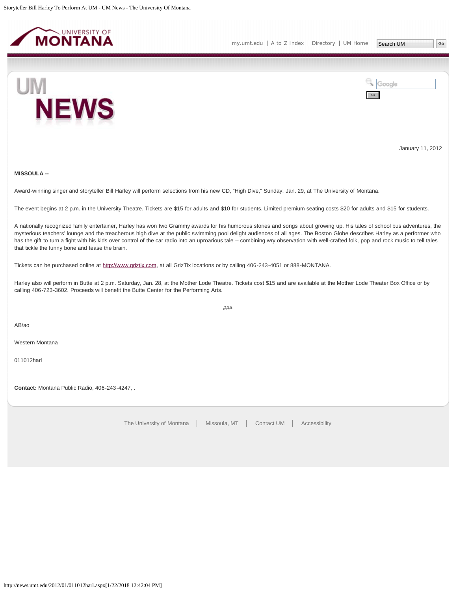<span id="page-39-0"></span>



January 11, 2012

## **MISSOULA --**

Award-winning singer and storyteller Bill Harley will perform selections from his new CD, "High Dive," Sunday, Jan. 29, at The University of Montana.

The event begins at 2 p.m. in the University Theatre. Tickets are \$15 for adults and \$10 for students. Limited premium seating costs \$20 for adults and \$15 for students.

A nationally recognized family entertainer, Harley has won two Grammy awards for his humorous stories and songs about growing up. His tales of school bus adventures, the mysterious teachers' lounge and the treacherous high dive at the public swimming pool delight audiences of all ages. The Boston Globe describes Harley as a performer who has the gift to turn a fight with his kids over control of the car radio into an uproarious tale -- combining wry observation with well-crafted folk, pop and rock music to tell tales that tickle the funny bone and tease the brain.

Tickets can be purchased online at [http://www.griztix.com,](http://www.griztix.com/) at all GrizTix locations or by calling 406-243-4051 or 888-MONTANA.

Harley also will perform in Butte at 2 p.m. Saturday, Jan. 28, at the Mother Lode Theatre. Tickets cost \$15 and are available at the Mother Lode Theater Box Office or by calling 406-723-3602. Proceeds will benefit the Butte Center for the Performing Arts.

###

AB/ao

Western Montana

011012harl

**Contact:** Montana Public Radio, 406-243-4247, .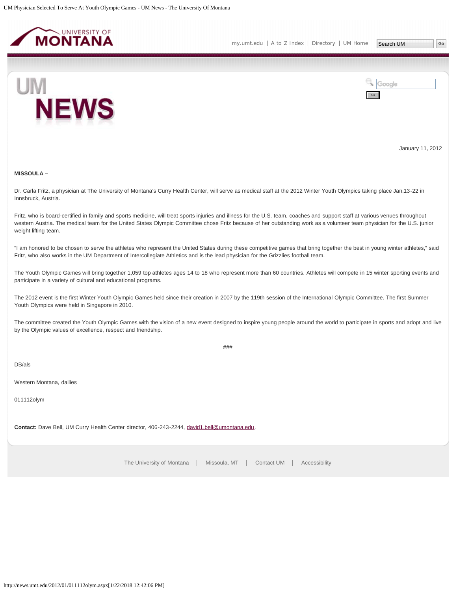<span id="page-40-0"></span>



January 11, 2012

## **MISSOULA –**

Dr. Carla Fritz, a physician at The University of Montana's Curry Health Center, will serve as medical staff at the 2012 Winter Youth Olympics taking place Jan.13-22 in Innsbruck, Austria.

Fritz, who is board-certified in family and sports medicine, will treat sports injuries and illness for the U.S. team, coaches and support staff at various venues throughout western Austria. The medical team for the United States Olympic Committee chose Fritz because of her outstanding work as a volunteer team physician for the U.S. junior weight lifting team.

"I am honored to be chosen to serve the athletes who represent the United States during these competitive games that bring together the best in young winter athletes," said Fritz, who also works in the UM Department of Intercollegiate Athletics and is the lead physician for the Grizzlies football team.

The Youth Olympic Games will bring together 1,059 top athletes ages 14 to 18 who represent more than 60 countries. Athletes will compete in 15 winter sporting events and participate in a variety of cultural and educational programs.

The 2012 event is the first Winter Youth Olympic Games held since their creation in 2007 by the 119th session of the International Olympic Committee. The first Summer Youth Olympics were held in Singapore in 2010.

The committee created the Youth Olympic Games with the vision of a new event designed to inspire young people around the world to participate in sports and adopt and live by the Olympic values of excellence, respect and friendship.

###

DB/als

Western Montana, dailies

011112olym

**Contact:** Dave Bell, UM Curry Health Center director, 406-243-2244, [david1.bell@umontana.edu](mailto:david1.bell@umontana.edu).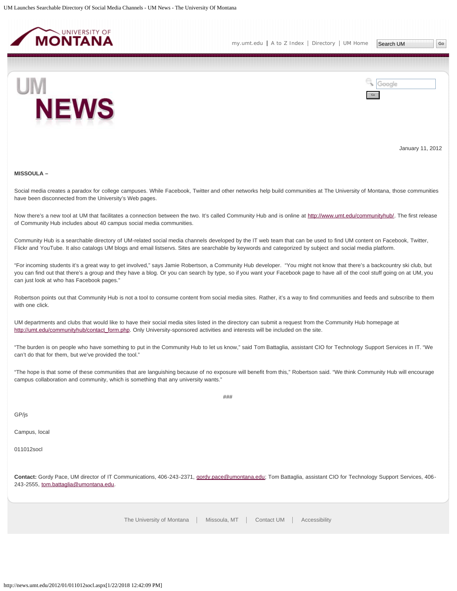<span id="page-41-0"></span>



January 11, 2012

#### **MISSOULA –**

Social media creates a paradox for college campuses. While Facebook, Twitter and other networks help build communities at The University of Montana, those communities have been disconnected from the University's Web pages.

Now there's a new tool at UM that facilitates a connection between the two. It's called Community Hub and is online at [http://www.umt.edu/communityhub/.](http://www.umt.edu/communityhub/) The first release of Community Hub includes about 40 campus social media communities.

Community Hub is a searchable directory of UM-related social media channels developed by the IT web team that can be used to find UM content on Facebook, Twitter, Flickr and YouTube. It also catalogs UM blogs and email listservs. Sites are searchable by keywords and categorized by subject and social media platform.

"For incoming students it's a great way to get involved," says Jamie Robertson, a Community Hub developer. "You might not know that there's a backcountry ski club, but you can find out that there's a group and they have a blog. Or you can search by type, so if you want your Facebook page to have all of the cool stuff going on at UM, you can just look at who has Facebook pages."

Robertson points out that Community Hub is not a tool to consume content from social media sites. Rather, it's a way to find communities and feeds and subscribe to them with one click.

UM departments and clubs that would like to have their social media sites listed in the directory can submit a request from the Community Hub homepage at [http://umt.edu/communityhub/contact\\_form.php.](http://umt.edu/communityhub/contact_form.php) Only University-sponsored activities and interests will be included on the site.

"The burden is on people who have something to put in the Community Hub to let us know," said Tom Battaglia, assistant CIO for Technology Support Services in IT. "We can't do that for them, but we've provided the tool."

"The hope is that some of these communities that are languishing because of no exposure will benefit from this," Robertson said. "We think Community Hub will encourage campus collaboration and community, which is something that any university wants."

 $#HH$ 

GP/js

Campus, local

011012socl

**Contact:** Gordy Pace, UM director of IT Communications, 406-243-2371, [gordy.pace@umontana.edu](mailto:gordy.pace@umontana.edu); Tom Battaglia, assistant CIO for Technology Support Services, 406 243-2555, [tom.battaglia@umontana.edu](mailto:tom.battaglia@umontana.edu).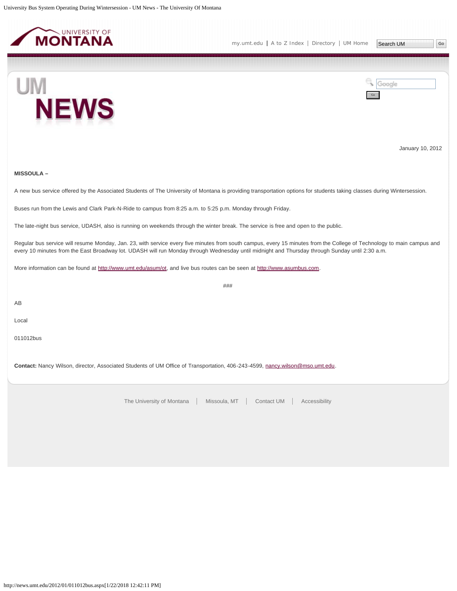<span id="page-42-0"></span>





January 10, 2012

## **MISSOULA –**

A new bus service offered by the Associated Students of The University of Montana is providing transportation options for students taking classes during Wintersession.

Buses run from the Lewis and Clark Park-N-Ride to campus from 8:25 a.m. to 5:25 p.m. Monday through Friday.

The late-night bus service, UDASH, also is running on weekends through the winter break. The service is free and open to the public.

Regular bus service will resume Monday, Jan. 23, with service every five minutes from south campus, every 15 minutes from the College of Technology to main campus and every 10 minutes from the East Broadway lot. UDASH will run Monday through Wednesday until midnight and Thursday through Sunday until 2:30 a.m.

###

More information can be found at<http://www.umt.edu/asum/ot>, and live bus routes can be seen at [http://www.asumbus.com.](http://www.asumbus.com/)

AB

Local

011012bus

**Contact:** Nancy Wilson, director, Associated Students of UM Office of Transportation, 406-243-4599, [nancy.wilson@mso.umt.edu.](mailto:nancy.wilson@mso.umt.edu)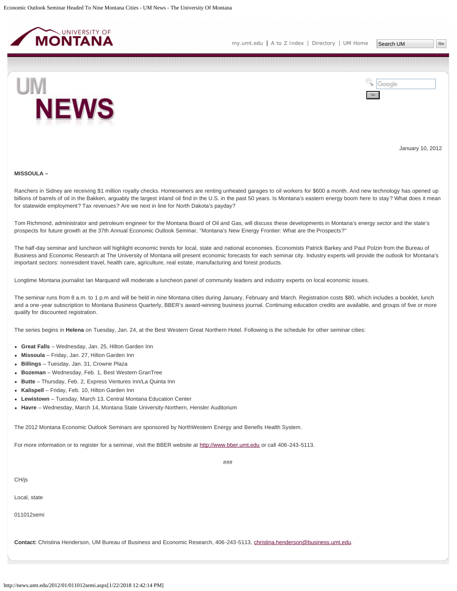<span id="page-43-0"></span>



January 10, 2012

#### **MISSOULA –**

Ranchers in Sidney are receiving \$1 million royalty checks. Homeowners are renting unheated garages to oil workers for \$600 a month. And new technology has opened up billions of barrels of oil in the Bakken, arguably the largest inland oil find in the U.S. in the past 50 years. Is Montana's eastern energy boom here to stay? What does it mean for statewide employment? Tax revenues? Are we next in line for North Dakota's payday?

Tom Richmond, administrator and petroleum engineer for the Montana Board of Oil and Gas, will discuss these developments in Montana's energy sector and the state's prospects for future growth at the 37th Annual Economic Outlook Seminar, "Montana's New Energy Frontier: What are the Prospects?"

The half-day seminar and luncheon will highlight economic trends for local, state and national economies. Economists Patrick Barkey and Paul Polzin from the Bureau of Business and Economic Research at The University of Montana will present economic forecasts for each seminar city. Industry experts will provide the outlook for Montana's important sectors: nonresident travel, health care, agriculture, real estate, manufacturing and forest products.

Longtime Montana journalist Ian Marquand will moderate a luncheon panel of community leaders and industry experts on local economic issues.

The seminar runs from 8 a.m. to 1 p.m and will be held in nine Montana cities during January, February and March. Registration costs \$80, which includes a booklet, lunch and a one-year subscription to Montana Business Quarterly, BBER's award-winning business journal. Continuing education credits are available, and groups of five or more qualify for discounted registration.

###

The series begins in **Helena** on Tuesday, Jan. 24, at the Best Western Great Northern Hotel. Following is the schedule for other seminar cities:

- **Great Falls** Wednesday, Jan. 25, Hilton Garden Inn
- **Missoula** Friday, Jan. 27, Hilton Garden Inn
- **Billings** Tuesday, Jan. 31, Crowne Plaza
- **Bozeman** Wednesday, Feb. 1, Best Western GranTree
- **Butte** Thursday, Feb. 2, Express Ventures Inn/La Quinta Inn
- **Kalispell** Friday, Feb. 10, Hilton Garden Inn
- **Lewistown** Tuesday, March 13, Central Montana Education Center
- **Havre** Wednesday, March 14, Montana State University-Northern, Hensler Auditorium

The 2012 Montana Economic Outlook Seminars are sponsored by NorthWestern Energy and Benefis Health System.

For more information or to register for a seminar, visit the BBER website at [http://www.bber.umt.edu](http://www.bber.umt.edu/) or call 406-243-5113.

CH/js

Local, state

011012semi

**Contact:** Christina Henderson, UM Bureau of Business and Economic Research, 406-243-5113, [christina.henderson@business.umt.edu](mailto:christina.henderson@business.umt.edu).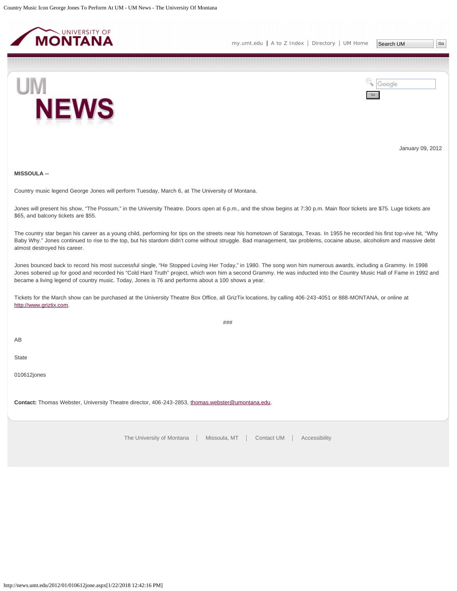<span id="page-45-0"></span>



January 09, 2012

**MISSOULA --**

Country music legend George Jones will perform Tuesday, March 6, at The University of Montana.

Jones will present his show, "The Possum," in the University Theatre. Doors open at 6 p.m., and the show begins at 7:30 p.m. Main floor tickets are \$75. Luge tickets are \$65, and balcony tickets are \$55.

The country star began his career as a young child, performing for tips on the streets near his hometown of Saratoga, Texas. In 1955 he recorded his first top-vive hit, "Why Baby Why." Jones continued to rise to the top, but his stardom didn't come without struggle. Bad management, tax problems, cocaine abuse, alcoholism and massive debt almost destroyed his career.

Jones bounced back to record his most successful single, "He Stopped Loving Her Today," in 1980. The song won him numerous awards, including a Grammy. In 1998 Jones sobered up for good and recorded his "Cold Hard Truth" project, which won him a second Grammy. He was inducted into the Country Music Hall of Fame in 1992 and became a living legend of country music. Today, Jones is 76 and performs about a 100 shows a year.

###

Tickets for the March show can be purchased at the University Theatre Box Office, all GrizTix locations, by calling 406-243-4051 or 888-MONTANA, or online at [http://www.griztix.com](http://www.griztix.com/).

AB

**State** 

010612jones

**Contact:** Thomas Webster, University Theatre director, 406-243-2853, [thomas.webster@umontana.edu](mailto:thomas.webster@umontana.edu).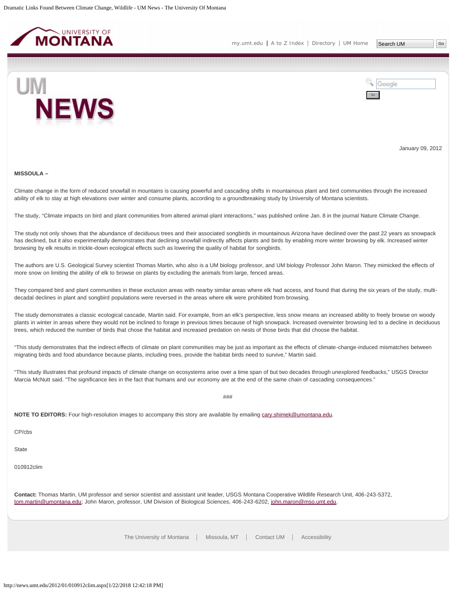<span id="page-46-0"></span>



January 09, 2012

#### **MISSOULA –**

Climate change in the form of reduced snowfall in mountains is causing powerful and cascading shifts in mountainous plant and bird communities through the increased ability of elk to stay at high elevations over winter and consume plants, according to a groundbreaking study by University of Montana scientists.

The study, "Climate impacts on bird and plant communities from altered animal-plant interactions," was published online Jan. 8 in the journal Nature Climate Change.

The study not only shows that the abundance of deciduous trees and their associated songbirds in mountainous Arizona have declined over the past 22 years as snowpack has declined, but it also experimentally demonstrates that declining snowfall indirectly affects plants and birds by enabling more winter browsing by elk. Increased winter browsing by elk results in trickle-down ecological effects such as lowering the quality of habitat for songbirds.

The authors are U.S. Geological Survey scientist Thomas Martin, who also is a UM biology professor, and UM biology Professor John Maron. They mimicked the effects of more snow on limiting the ability of elk to browse on plants by excluding the animals from large, fenced areas.

They compared bird and plant communities in these exclusion areas with nearby similar areas where elk had access, and found that during the six years of the study, multidecadal declines in plant and songbird populations were reversed in the areas where elk were prohibited from browsing.

The study demonstrates a classic ecological cascade, Martin said. For example, from an elk's perspective, less snow means an increased ability to freely browse on woody plants in winter in areas where they would not be inclined to forage in previous times because of high snowpack. Increased overwinter browsing led to a decline in deciduous trees, which reduced the number of birds that chose the habitat and increased predation on nests of those birds that did choose the habitat.

"This study demonstrates that the indirect effects of climate on plant communities may be just as important as the effects of climate-change-induced mismatches between migrating birds and food abundance because plants, including trees, provide the habitat birds need to survive," Martin said.

"This study illustrates that profound impacts of climate change on ecosystems arise over a time span of but two decades through unexplored feedbacks," USGS Director Marcia McNutt said. "The significance lies in the fact that humans and our economy are at the end of the same chain of cascading consequences."

 $#HH$ 

**NOTE TO EDITORS:** Four high-resolution images to accompany this story are available by emailing [cary.shimek@umontana.edu](mailto:cary.shimek@umontana.edu).

CP/cbs

**State** 

010912clim

**Contact:** Thomas Martin, UM professor and senior scientist and assistant unit leader, USGS Montana Cooperative Wildlife Research Unit, 406-243-5372, [tom.martin@umontana.edu](mailto:tom.martin@umontana.edu); John Maron, professor, UM Division of Biological Sciences, 406-243-6202, [john.maron@mso.umt.edu.](mailto:john.maron@mso.umt.edu)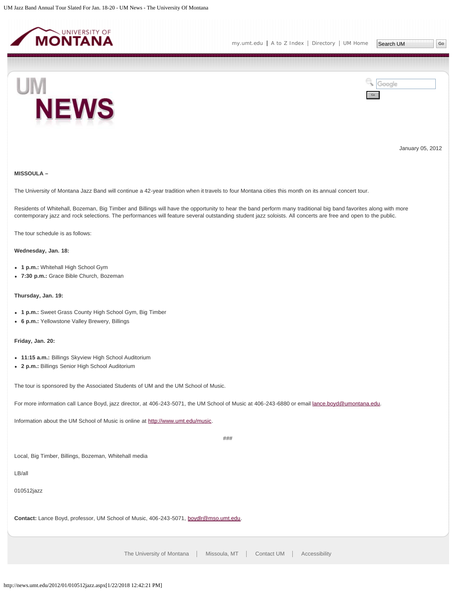<span id="page-47-0"></span>



January 05, 2012

## **MISSOULA –**

The University of Montana Jazz Band will continue a 42-year tradition when it travels to four Montana cities this month on its annual concert tour.

Residents of Whitehall, Bozeman, Big Timber and Billings will have the opportunity to hear the band perform many traditional big band favorites along with more contemporary jazz and rock selections. The performances will feature several outstanding student jazz soloists. All concerts are free and open to the public.

The tour schedule is as follows:

## **Wednesday, Jan. 18:**

- **1 p.m.:** Whitehall High School Gym
- **7:30 p.m.:** Grace Bible Church, Bozeman

## **Thursday, Jan. 19:**

- **1 p.m.:** Sweet Grass County High School Gym, Big Timber
- **6 p.m.:** Yellowstone Valley Brewery, Billings

## **Friday, Jan. 20:**

- **11:15 a.m.:** Billings Skyview High School Auditorium
- **2 p.m.:** Billings Senior High School Auditorium

The tour is sponsored by the Associated Students of UM and the UM School of Music.

For more information call Lance Boyd, jazz director, at 406-243-5071, the UM School of Music at 406-243-6880 or email [lance.boyd@umontana.edu.](mailto:lance.boyd@umontana.edu)

Information about the UM School of Music is online at [http://www.umt.edu/music.](http://www.umt.edu/music)

 $###$ 

Local, Big Timber, Billings, Bozeman, Whitehall media

LB/all

010512jazz

**Contact:** Lance Boyd, professor, UM School of Music, 406-243-5071, [boydlr@mso.umt.edu.](mailto:boydlr@mso.umt.edu)